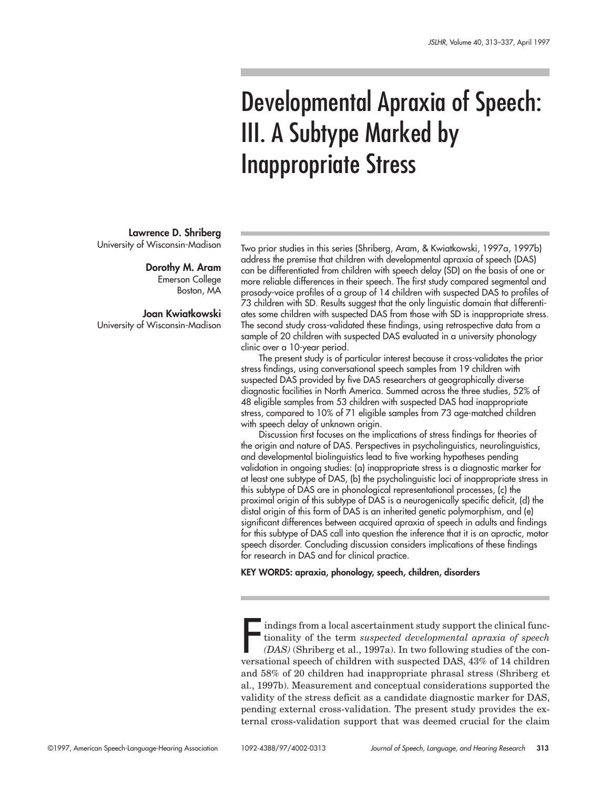# Developmental Apraxia of Speech: III. A Subtype Marked by Inappropriate Stress

**Lawrence D. Shriberg** University of Wisconsin-Madison

> **Dorothy M. Aram** Emerson College Boston, MA

**Joan Kwiatkowski** University of Wisconsin-Madison Two prior studies in this series (Shriberg, Aram, & Kwiatkowski, 1997a, 1997b) address the premise that children with developmental apraxia of speech (DAS) can be differentiated from children with speech delay (SD) on the basis of one or more reliable differences in their speech. The first study compared segmental and prosody-voice profiles of a group of 14 children with suspected DAS to profiles of 73 children with SD. Results suggest that the only linguistic domain that differentiates some children with suspected DAS from those with SD is inappropriate stress. The second study cross-validated these findings, using retrospective data from a sample of 20 children with suspected DAS evaluated in a university phonology clinic over a 10-year period.

The present study is of particular interest because it cross-validates the prior stress findings, using conversational speech samples from 19 children with suspected DAS provided by five DAS researchers at geographically diverse diagnostic facilities in North America. Summed across the three studies, 52% of 48 eligible samples from 53 children with suspected DAS had inappropriate stress, compared to 10% of 71 eligible samples from 73 age-matched children with speech delay of unknown origin.

Discussion first focuses on the implications of stress findings for theories of the origin and nature of DAS. Perspectives in psycholinguistics, neurolinguistics, and developmental biolinguistics lead to five working hypotheses pending validation in ongoing studies: (a) inappropriate stress is a diagnostic marker for at least one subtype of DAS, (b) the psycholinguistic loci of inappropriate stress in this subtype of DAS are in phonological representational processes, (c) the proximal origin of this subtype of DAS is a neurogenically specific deficit, (d) the distal origin of this form of DAS is an inherited genetic polymorphism, and (e) significant differences between acquired apraxia of speech in adults and findings for this subtype of DAS call into question the inference that it is an apractic, motor speech disorder. Concluding discussion considers implications of these findings for research in DAS and for clinical practice.

**KEY WORDS: apraxia, phonology, speech, children, disorders**

indings from a local ascertainment study support the clinical functionality of the term *suspected developmental apraxia of speech* (*DAS*) (Shriberg et al., 1997a). In two following studies of the conversational speech of indings from a local ascertainment study support the clinical functionality of the term *suspected developmental apraxia of speech (DAS)* (Shriberg et al., 1997a). In two following studies of the conand 58% of 20 children had inappropriate phrasal stress (Shriberg et al., 1997b). Measurement and conceptual considerations supported the validity of the stress deficit as a candidate diagnostic marker for DAS, pending external cross-validation. The present study provides the external cross-validation support that was deemed crucial for the claim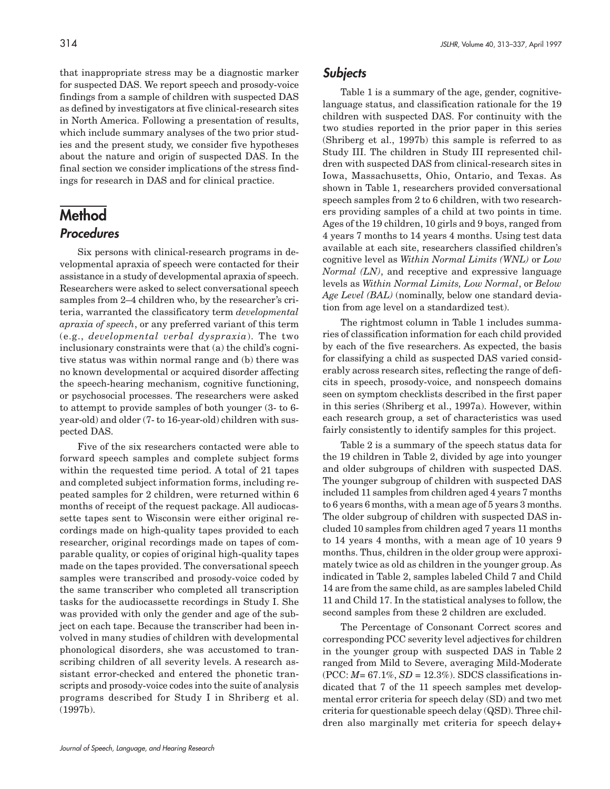that inappropriate stress may be a diagnostic marker for suspected DAS. We report speech and prosody-voice findings from a sample of children with suspected DAS as defined by investigators at five clinical-research sites in North America. Following a presentation of results, which include summary analyses of the two prior studies and the present study, we consider five hypotheses about the nature and origin of suspected DAS. In the final section we consider implications of the stress findings for research in DAS and for clinical practice.

# **Method Procedures**

Six persons with clinical-research programs in developmental apraxia of speech were contacted for their assistance in a study of developmental apraxia of speech. Researchers were asked to select conversational speech samples from 2–4 children who, by the researcher's criteria, warranted the classificatory term *developmental apraxia of speech*, or any preferred variant of this term (e.g., *developmental verbal dyspraxia*). The two inclusionary constraints were that (a) the child's cognitive status was within normal range and (b) there was no known developmental or acquired disorder affecting the speech-hearing mechanism, cognitive functioning, or psychosocial processes. The researchers were asked to attempt to provide samples of both younger (3- to 6 year-old) and older (7- to 16-year-old) children with suspected DAS.

Five of the six researchers contacted were able to forward speech samples and complete subject forms within the requested time period. A total of 21 tapes and completed subject information forms, including repeated samples for 2 children, were returned within 6 months of receipt of the request package. All audiocassette tapes sent to Wisconsin were either original recordings made on high-quality tapes provided to each researcher, original recordings made on tapes of comparable quality, or copies of original high-quality tapes made on the tapes provided. The conversational speech samples were transcribed and prosody-voice coded by the same transcriber who completed all transcription tasks for the audiocassette recordings in Study I. She was provided with only the gender and age of the subject on each tape. Because the transcriber had been involved in many studies of children with developmental phonological disorders, she was accustomed to transcribing children of all severity levels. A research assistant error-checked and entered the phonetic transcripts and prosody-voice codes into the suite of analysis programs described for Study I in Shriberg et al. (1997b).

## **Subjects**

Table 1 is a summary of the age, gender, cognitivelanguage status, and classification rationale for the 19 children with suspected DAS. For continuity with the two studies reported in the prior paper in this series (Shriberg et al., 1997b) this sample is referred to as Study III. The children in Study III represented children with suspected DAS from clinical-research sites in Iowa, Massachusetts, Ohio, Ontario, and Texas. As shown in Table 1, researchers provided conversational speech samples from 2 to 6 children, with two researchers providing samples of a child at two points in time. Ages of the 19 children, 10 girls and 9 boys, ranged from 4 years 7 months to 14 years 4 months. Using test data available at each site, researchers classified children's cognitive level as *Within Normal Limits (WNL)* or *Low Normal (LN)*, and receptive and expressive language levels as *Within Normal Limits, Low Normal*, or *Below Age Level (BAL)* (nominally, below one standard deviation from age level on a standardized test).

The rightmost column in Table 1 includes summaries of classification information for each child provided by each of the five researchers. As expected, the basis for classifying a child as suspected DAS varied considerably across research sites, reflecting the range of deficits in speech, prosody-voice, and nonspeech domains seen on symptom checklists described in the first paper in this series (Shriberg et al., 1997a). However, within each research group, a set of characteristics was used fairly consistently to identify samples for this project.

Table 2 is a summary of the speech status data for the 19 children in Table 2, divided by age into younger and older subgroups of children with suspected DAS. The younger subgroup of children with suspected DAS included 11 samples from children aged 4 years 7 months to 6 years 6 months, with a mean age of 5 years 3 months. The older subgroup of children with suspected DAS included 10 samples from children aged 7 years 11 months to 14 years 4 months, with a mean age of 10 years 9 months. Thus, children in the older group were approximately twice as old as children in the younger group. As indicated in Table 2, samples labeled Child 7 and Child 14 are from the same child, as are samples labeled Child 11 and Child 17. In the statistical analyses to follow, the second samples from these 2 children are excluded.

The Percentage of Consonant Correct scores and corresponding PCC severity level adjectives for children in the younger group with suspected DAS in Table 2 ranged from Mild to Severe, averaging Mild-Moderate (PCC: *M*= 67.1%, *SD* = 12.3%). SDCS classifications indicated that 7 of the 11 speech samples met developmental error criteria for speech delay (SD) and two met criteria for questionable speech delay (QSD). Three children also marginally met criteria for speech delay+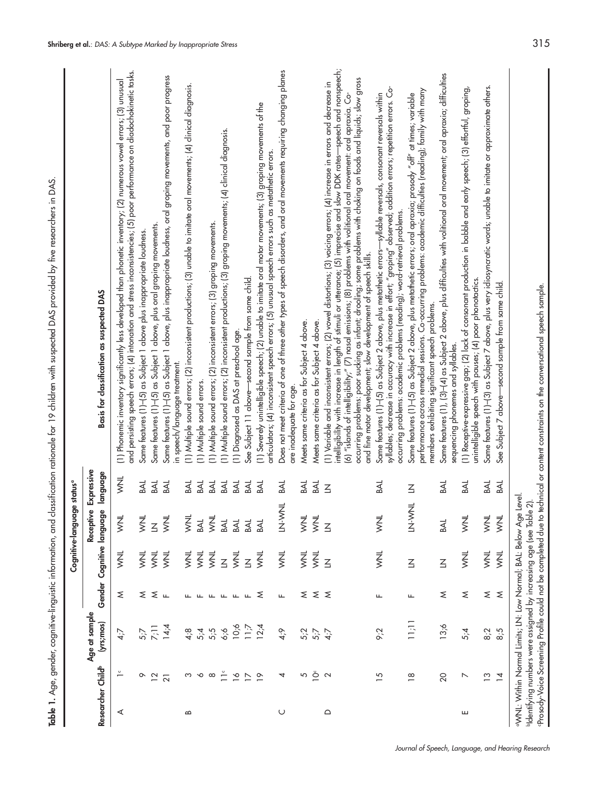| $\overline{a}$        |  |
|-----------------------|--|
|                       |  |
|                       |  |
|                       |  |
|                       |  |
|                       |  |
|                       |  |
|                       |  |
| í<br>$\overline{a}$   |  |
|                       |  |
|                       |  |
| Į                     |  |
|                       |  |
|                       |  |
|                       |  |
|                       |  |
| ī                     |  |
|                       |  |
|                       |  |
|                       |  |
| i                     |  |
|                       |  |
|                       |  |
| į                     |  |
| Ī                     |  |
|                       |  |
| ļ<br>ī<br>)           |  |
| i<br>ı                |  |
|                       |  |
|                       |  |
|                       |  |
| 5<br>ś<br>I<br>ī<br>I |  |

|                               |                      |                                                                                                                                                                                                                                   |                        |                          | Cognitive-language status <sup>o</sup> |                        |                                                                                                                                                                                                                                                                                                                                                                                                                                                                                                                                                                   |
|-------------------------------|----------------------|-----------------------------------------------------------------------------------------------------------------------------------------------------------------------------------------------------------------------------------|------------------------|--------------------------|----------------------------------------|------------------------|-------------------------------------------------------------------------------------------------------------------------------------------------------------------------------------------------------------------------------------------------------------------------------------------------------------------------------------------------------------------------------------------------------------------------------------------------------------------------------------------------------------------------------------------------------------------|
| Researcher Child <sup>b</sup> |                      | Age at sample<br>(yrs;mos)                                                                                                                                                                                                        |                        | Gender Cognitive languag | Receptive<br>$\mathbf{d}$              | Expressive<br>language | Basis for classification as suspected DAS                                                                                                                                                                                                                                                                                                                                                                                                                                                                                                                         |
| ⋖                             | $\overset{\circ}{-}$ | 47                                                                                                                                                                                                                                | ≲                      | NNL                      | <b>TNIK</b>                            | NNI                    | and persisting speech errors; (4) intonation and stress inconsistencies; (5) poor performance on diadochokinetic tasks.<br>(1) Phonemic inventory significantly less developed than phonetic inventory; (2) numerous vowel errors; (3) unusual                                                                                                                                                                                                                                                                                                                    |
|                               | ᡐ                    |                                                                                                                                                                                                                                   |                        | W                        | WNL                                    | BAL                    | Same features (1)-(5) as Subject 1 above plus inappropriate loudness.                                                                                                                                                                                                                                                                                                                                                                                                                                                                                             |
|                               | $\overline{2}$       | $5,7$<br>7;11                                                                                                                                                                                                                     | ≲ ≳ ⊥                  | $\overline{\leq}$        | $\overline{\leq}$                      | <b>BAL</b>             | Same features (1)-(5) as Subject 1 above, plus oral groping movements.                                                                                                                                                                                                                                                                                                                                                                                                                                                                                            |
|                               | $\overline{2}1$      | 14;4                                                                                                                                                                                                                              |                        | W                        | WNL                                    | BAL                    | Same features (1)-(5) as Subject 1 above, plus inappropriate loudness, oral groping movements, and poor progress<br>in speech/language treatment.                                                                                                                                                                                                                                                                                                                                                                                                                 |
| $\bf{m}$                      | S                    | 4,8                                                                                                                                                                                                                               |                        | W                        | WNL                                    | BAL                    | (1) Multiple sound errors; (2) inconsistent productions; (3) unable to imitate oral movements; (4) clinical diagnosis.                                                                                                                                                                                                                                                                                                                                                                                                                                            |
|                               | ╰                    | 5:4                                                                                                                                                                                                                               | ட                      | WNL                      | BAL                                    | BAL                    | (1) Multiple sound errors.                                                                                                                                                                                                                                                                                                                                                                                                                                                                                                                                        |
|                               | $\infty$             | 5.5                                                                                                                                                                                                                               | $\mathsf{L}\mathsf{L}$ | $\overline{\xi}$         | WNL                                    | BAL                    | (1) Multiple sound errors; (2) inconsistent errors; (3) groping movements.                                                                                                                                                                                                                                                                                                                                                                                                                                                                                        |
|                               | $\sum$               | 6,6                                                                                                                                                                                                                               | ட                      | $\overline{\mathbf{z}}$  | BAL                                    | BAL                    | (1) Multiple sound errors; (2) inconsistent productions; (3) groping movements; (4) clinical diagnosis.                                                                                                                                                                                                                                                                                                                                                                                                                                                           |
|                               | $\frac{8}{10}$       | 10,6                                                                                                                                                                                                                              | Щ                      | $\overline{\leq}$        | BAL                                    | BAL                    | (1) Diagnosed as DAS at preschool age.                                                                                                                                                                                                                                                                                                                                                                                                                                                                                                                            |
|                               | $\geq$               | 117                                                                                                                                                                                                                               | ட                      | $\leq$                   | BAL                                    | BAL                    | See Subject 11 above-second sample from same child.                                                                                                                                                                                                                                                                                                                                                                                                                                                                                                               |
|                               | $\tilde{=}$          | 12,4                                                                                                                                                                                                                              | Σ                      | $\overline{z}$           | <b>RAL</b>                             | BAL                    | (1) Severely unintelligible speech; (2) unable to imitate oral motor movements; (3) groping movements of the<br>articulators; (4) inconsistent speech errors; (5) unusual speech errors such as metathetic errors.                                                                                                                                                                                                                                                                                                                                                |
| $\cup$                        | 4                    | 4,9                                                                                                                                                                                                                               | Щ                      | WN                       | <b>IN-WHL</b>                          | BAL                    | Does not meet criteria of one of three other types of speech disorders, and oral movements requiring changing planes<br>are inadequate for age.                                                                                                                                                                                                                                                                                                                                                                                                                   |
|                               | 5                    | 5;2                                                                                                                                                                                                                               |                        | WNL                      | WNL                                    | BAL                    | Meets same criteria as for Subject 4 above.                                                                                                                                                                                                                                                                                                                                                                                                                                                                                                                       |
|                               | $\sum_{1}^{\infty}$  | 5;7                                                                                                                                                                                                                               | ≳ ≳ ≳                  | WNL                      | WNL                                    | BAL                    | Meets same criteria as for Subject 4 above.                                                                                                                                                                                                                                                                                                                                                                                                                                                                                                                       |
|                               |                      |                                                                                                                                                                                                                                   |                        |                          |                                        |                        |                                                                                                                                                                                                                                                                                                                                                                                                                                                                                                                                                                   |
| $\mathop\simeq$               |                      | 4.7                                                                                                                                                                                                                               |                        | $\leq$                   | $\leq$                                 | $\leq$                 | intelligibility with increase in length of stimuli or utterance; (5) imprecise and slow DDK rates—speech and nonspeech;<br>occurring problems: poor sucking as infant; drooling; some problems with choking on foods and liquids; slow gross<br>(1) Variable and inconsistent errors; (2) vowel distortions; (3) voicing errors; (4) increase in errors and decrease in<br>(6) "islands of intelligibility," (7) nasal emissions; (8) problems with volitional oral movement: oral apraxia. Co-<br>and fine motor development; slow development of speech skills. |
|                               | $\overline{15}$      | $\sim$                                                                                                                                                                                                                            | ட                      | WNL                      | <b>NIK</b>                             | BAL                    | syllables; decrease in accuracy with increase in effort; "groping" observed; addition errors; repetition errors. Co-<br>Same features (1)–(5) as Subject 2 above, plus metathetic errors—syllable reversals, consonant reversals within<br>occurring problems: academic problems (reading); word-retrieval problems.                                                                                                                                                                                                                                              |
|                               | $\frac{8}{1}$        | 11;11                                                                                                                                                                                                                             | ட                      | $\leq$                   | Ż<br>IN-Y                              | $\leq$                 | performance across remedial sessions. Co-occurring problems: academic difficulties (reading); family with many<br>Same features (1)–(5) as Subject 2 above, plus metathetic errors; oral apraxia; prosody "off" at times; variable<br>members exhibiting significant speech problems.                                                                                                                                                                                                                                                                             |
|                               | $\infty$             | 13,6                                                                                                                                                                                                                              | ₹                      | $\leq$                   | BAL                                    | BAL                    | Same features (1), (3)–(4) as Subject 2 above, plus difficulties with volitional oral movement; oral apraxia; difficulties<br>sequencing phonemes and syllables.                                                                                                                                                                                                                                                                                                                                                                                                  |
| ш                             | ↖                    | 5:4                                                                                                                                                                                                                               | Σ                      | <b>NNK</b>               | <b>NNI</b>                             | BAL                    | (1) Receptive-expressive gap; (2) lack of consonant production in babble and early speech; (3) effortful, groping,<br>unintelligible speech with pauses; (4) poor phonotactics.                                                                                                                                                                                                                                                                                                                                                                                   |
|                               | $\overline{1}3$      | 8,2                                                                                                                                                                                                                               | $\leq$                 | WIL                      | WNL                                    | BAL                    | Same features (1)–(3) as Subject 7 above, plus very idiosyncratic words; unable to imitate or approximate others.                                                                                                                                                                                                                                                                                                                                                                                                                                                 |
|                               | $\overline{4}$       | 8;5                                                                                                                                                                                                                               | $\leq$                 | <b>NIX</b>               | <b>NIK</b>                             | BAL                    | See Subject 7 above—second sample from same child.                                                                                                                                                                                                                                                                                                                                                                                                                                                                                                                |
|                               |                      | <sup>o</sup> WNL: Within Normal Limits; LN: Low Normal; BAL: Below Age Level.<br><sup>b</sup> ldentifying numbers were assigned by increasing age (see Table 2).<br>Prosody-Voice Screening Profile could not be completed due to |                        |                          |                                        |                        | technical or content constraints on the conversational speech sample.                                                                                                                                                                                                                                                                                                                                                                                                                                                                                             |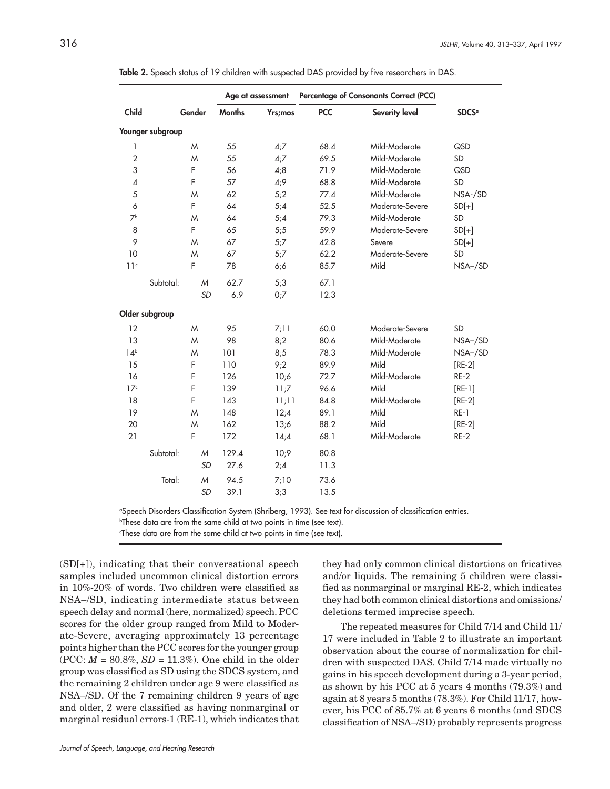**Age at assessment Percentage of Consonants Correct (PCC) Child Gender Months Yrs;mos PCC Severity level SDCSa Younger subgroup** 1 M 55 4;7 68.4 Mild-Moderate QSD 2 M 55 4;7 69.5 Mild-Moderate SD 3 F 56 4;8 71.9 Mild-Moderate QSD 4 F 57 4;9 68.8 Mild-Moderate SD 5 M 62 5;2 77.4 Mild-Moderate NSA-/SD 6 F 64 5;4 52.5 Moderate-Severe SD[+] 7b M 64 5;4 79.3 Mild-Moderate SD 8 F 65 5;5 59.9 Moderate-Severe SD[+] 9 M 67 5;7 42.8 Severe SD[+] 10 M 67 5;7 62.2 Moderate-Severe SD 11c F 78 6;6 85.7 Mild NSA–/SD Subtotal: M 62.7 5;3 67.1 SD 6.9 0;7 12.3 **Older subgroup** 12 M 95 7;11 60.0 Moderate-Severe SD 13 M 98 8;2 80.6 Mild-Moderate NSA–/SD 14b M 101 8;5 78.3 Mild-Moderate NSA–/SD 15 F 110 9;2 89.9 Mild [RE-2] 16 F 126 10;6 72.7 Mild-Moderate RE-2 17c F 139 11;7 96.6 Mild [RE-1] 18 F 143 11;11 84.8 Mild-Moderate [RE-2] 19 M 148 12;4 89.1 Mild RE-1 20 M 162 13;6 88.2 Mild [RE-2] 21 F 172 14;4 68.1 Mild-Moderate RE-2 Subtotal: M 129.4 10;9 80.8 SD 27.6 2;4 11.3 Total: M 94.5 7;10 73.6 SD 39.1 3;3 13.5

| <b>Table 2.</b> Speech status of 19 children with suspected DAS provided by five researchers in DAS. |  |
|------------------------------------------------------------------------------------------------------|--|
|------------------------------------------------------------------------------------------------------|--|

a Speech Disorders Classification System (Shriberg, 1993). See text for discussion of classification entries.

b These data are from the same child at two points in time (see text).

c These data are from the same child at two points in time (see text).

(SD[+]), indicating that their conversational speech samples included uncommon clinical distortion errors in 10%-20% of words. Two children were classified as NSA–/SD, indicating intermediate status between speech delay and normal (here, normalized) speech. PCC scores for the older group ranged from Mild to Moderate-Severe, averaging approximately 13 percentage points higher than the PCC scores for the younger group  $(PCC: M = 80.8\%, SD = 11.3\%).$  One child in the older group was classified as SD using the SDCS system, and the remaining 2 children under age 9 were classified as NSA–/SD. Of the 7 remaining children 9 years of age and older, 2 were classified as having nonmarginal or marginal residual errors-1 (RE-1), which indicates that they had only common clinical distortions on fricatives and/or liquids. The remaining 5 children were classified as nonmarginal or marginal RE-2, which indicates they had both common clinical distortions and omissions/ deletions termed imprecise speech.

The repeated measures for Child 7/14 and Child 11/ 17 were included in Table 2 to illustrate an important observation about the course of normalization for children with suspected DAS. Child 7/14 made virtually no gains in his speech development during a 3-year period, as shown by his PCC at 5 years 4 months (79.3%) and again at 8 years 5 months (78.3%). For Child 11/17, however, his PCC of 85.7% at 6 years 6 months (and SDCS classification of NSA–/SD) probably represents progress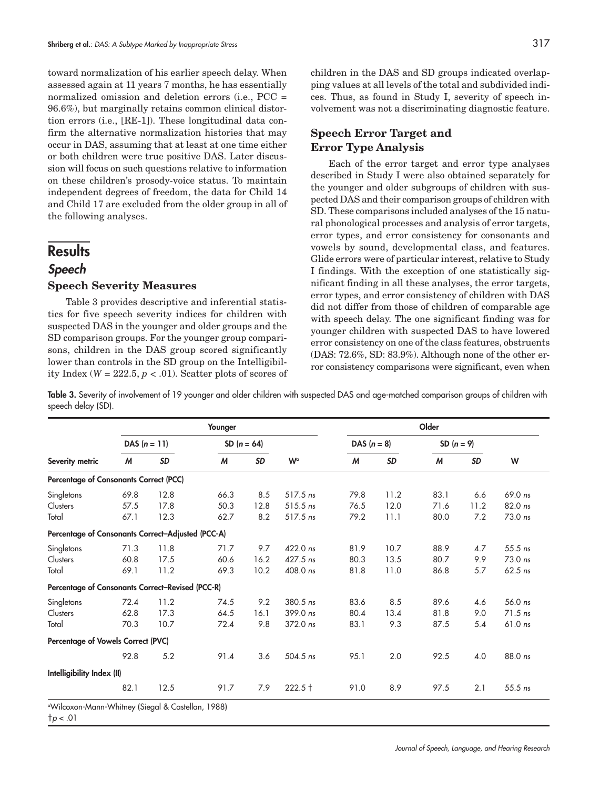toward normalization of his earlier speech delay. When assessed again at 11 years 7 months, he has essentially normalized omission and deletion errors (i.e., PCC = 96.6%), but marginally retains common clinical distortion errors (i.e., [RE-1]). These longitudinal data confirm the alternative normalization histories that may occur in DAS, assuming that at least at one time either or both children were true positive DAS. Later discussion will focus on such questions relative to information on these children's prosody-voice status. To maintain independent degrees of freedom, the data for Child 14 and Child 17 are excluded from the older group in all of the following analyses.

# **Results**

### **Speech**

#### **Speech Severity Measures**

Table 3 provides descriptive and inferential statistics for five speech severity indices for children with suspected DAS in the younger and older groups and the SD comparison groups. For the younger group comparisons, children in the DAS group scored significantly lower than controls in the SD group on the Intelligibility Index ( $W = 222.5$ ,  $p < .01$ ). Scatter plots of scores of children in the DAS and SD groups indicated overlapping values at all levels of the total and subdivided indices. Thus, as found in Study I, severity of speech involvement was not a discriminating diagnostic feature.

### **Speech Error Target and Error Type Analysis**

Each of the error target and error type analyses described in Study I were also obtained separately for the younger and older subgroups of children with suspected DAS and their comparison groups of children with SD. These comparisons included analyses of the 15 natural phonological processes and analysis of error targets, error types, and error consistency for consonants and vowels by sound, developmental class, and features. Glide errors were of particular interest, relative to Study I findings. With the exception of one statistically significant finding in all these analyses, the error targets, error types, and error consistency of children with DAS did not differ from those of children of comparable age with speech delay. The one significant finding was for younger children with suspected DAS to have lowered error consistency on one of the class features, obstruents (DAS: 72.6%, SD: 83.9%). Although none of the other error consistency comparisons were significant, even when

**Table 3.** Severity of involvement of 19 younger and older children with suspected DAS and age-matched comparison groups of children with speech delay (SD).

|                                                   |                |      | Younger |               |                |               |           | Older        |      |           |
|---------------------------------------------------|----------------|------|---------|---------------|----------------|---------------|-----------|--------------|------|-----------|
|                                                   | $DAS (n = 11)$ |      |         | SD $(n = 64)$ |                | DAS $(n = 8)$ |           | SD $(n = 9)$ |      |           |
| Severity metric                                   | M              | SD   | M       | <b>SD</b>     | W <sup>a</sup> | M             | <b>SD</b> | M            | SD   | W         |
| Percentage of Consonants Correct (PCC)            |                |      |         |               |                |               |           |              |      |           |
| Singletons                                        | 69.8           | 12.8 | 66.3    | 8.5           | $517.5$ ns     | 79.8          | 11.2      | 83.1         | 6.6  | 69.0 ns   |
| Clusters                                          | 57.5           | 17.8 | 50.3    | 12.8          | $515.5$ ns     | 76.5          | 12.0      | 71.6         | 11.2 | $82.0$ ns |
| Total                                             | 67.1           | 12.3 | 62.7    | 8.2           | 517.5 ns       | 79.2          | 11.1      | 80.0         | 7.2  | 73.0 ns   |
| Percentage of Consonants Correct-Adjusted (PCC-A) |                |      |         |               |                |               |           |              |      |           |
| Singletons                                        | 71.3           | 11.8 | 71.7    | 9.7           | 422.0 ns       | 81.9          | 10.7      | 88.9         | 4.7  | $55.5$ ns |
| Clusters                                          | 60.8           | 17.5 | 60.6    | 16.2          | $427.5$ ns     | 80.3          | 13.5      | 80.7         | 9.9  | 73.0 ns   |
| Total                                             | 69.1           | 11.2 | 69.3    | 10.2          | 408.0 ns       | 81.8          | 11.0      | 86.8         | 5.7  | $62.5$ ns |
| Percentage of Consonants Correct-Revised (PCC-R)  |                |      |         |               |                |               |           |              |      |           |
| Singletons                                        | 72.4           | 11.2 | 74.5    | 9.2           | $380.5$ ns     | 83.6          | 8.5       | 89.6         | 4.6  | 56.0 ns   |
| Clusters                                          | 62.8           | 17.3 | 64.5    | 16.1          | $399.0$ ns     | 80.4          | 13.4      | 81.8         | 9.0  | $71.5$ ns |
| Total                                             | 70.3           | 10.7 | 72.4    | 9.8           | 372.0 ns       | 83.1          | 9.3       | 87.5         | 5.4  | $61.0$ ns |
| Percentage of Vowels Correct (PVC)                |                |      |         |               |                |               |           |              |      |           |
|                                                   | 92.8           | 5.2  | 91.4    | 3.6           | $504.5$ ns     | 95.1          | 2.0       | 92.5         | 4.0  | 88.0 ns   |
| Intelligibility Index (II)                        |                |      |         |               |                |               |           |              |      |           |
|                                                   | 82.1           | 12.5 | 91.7    | 7.9           | $222.5 +$      | 91.0          | 8.9       | 97.5         | 2.1  | $55.5$ ns |

nn-vvnitney (Siegal & Castellan, 1988)

 $tp < .01$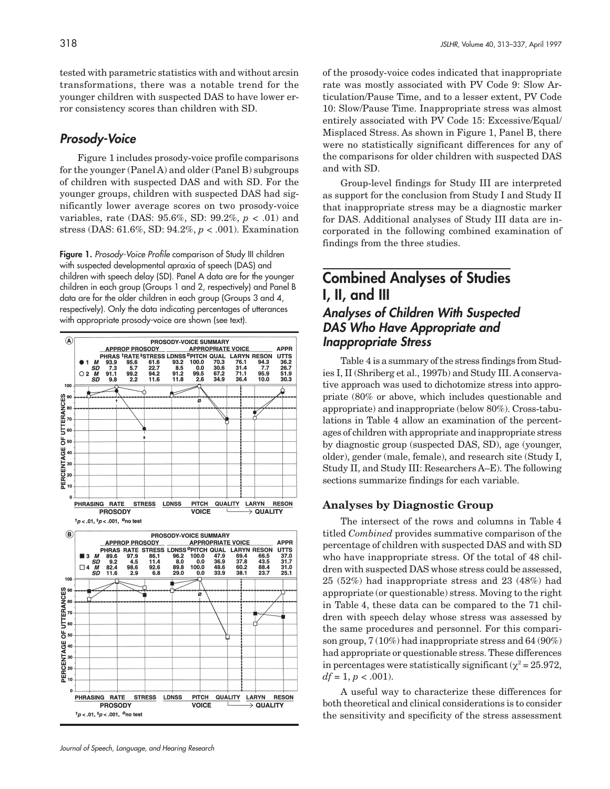tested with parametric statistics with and without arcsin transformations, there was a notable trend for the younger children with suspected DAS to have lower error consistency scores than children with SD.

## **Prosody-Voice**

Figure 1 includes prosody-voice profile comparisons for the younger (Panel A) and older (Panel B) subgroups of children with suspected DAS and with SD. For the younger groups, children with suspected DAS had significantly lower average scores on two prosody-voice variables, rate (DAS: 95.6%, SD: 99.2%, *p* < .01) and stress (DAS: 61.6%, SD: 94.2%, *p* < .001). Examination

**Figure 1.** Prosody-Voice Profile comparison of Study III children with suspected developmental apraxia of speech (DAS) and children with speech delay (SD). Panel A data are for the younger children in each group (Groups 1 and 2, respectively) and Panel B data are for the older children in each group (Groups 3 and 4, respectively). Only the data indicating percentages of utterances with appropriate prosody-voice are shown (see text).



of the prosody-voice codes indicated that inappropriate rate was mostly associated with PV Code 9: Slow Articulation/Pause Time, and to a lesser extent, PV Code 10: Slow/Pause Time. Inappropriate stress was almost entirely associated with PV Code 15: Excessive/Equal/ Misplaced Stress. As shown in Figure 1, Panel B, there were no statistically significant differences for any of the comparisons for older children with suspected DAS and with SD.

Group-level findings for Study III are interpreted as support for the conclusion from Study I and Study II that inappropriate stress may be a diagnostic marker for DAS. Additional analyses of Study III data are incorporated in the following combined examination of findings from the three studies.

# **Combined Analyses of Studies I, II, and III Analyses of Children With Suspected DAS Who Have Appropriate and Inappropriate Stress**

Table 4 is a summary of the stress findings from Studies I, II (Shriberg et al., 1997b) and Study III. A conservative approach was used to dichotomize stress into appropriate (80% or above, which includes questionable and appropriate) and inappropriate (below 80%). Cross-tabulations in Table 4 allow an examination of the percentages of children with appropriate and inappropriate stress by diagnostic group (suspected DAS, SD), age (younger, older), gender (male, female), and research site (Study I, Study II, and Study III: Researchers A–E). The following sections summarize findings for each variable.

#### **Analyses by Diagnostic Group**

The intersect of the rows and columns in Table 4 titled *Combined* provides summative comparison of the percentage of children with suspected DAS and with SD who have inappropriate stress. Of the total of 48 children with suspected DAS whose stress could be assessed, 25 (52%) had inappropriate stress and 23 (48%) had appropriate (or questionable) stress. Moving to the right in Table 4, these data can be compared to the 71 children with speech delay whose stress was assessed by the same procedures and personnel. For this comparison group, 7 (10%) had inappropriate stress and 64 (90%) had appropriate or questionable stress. These differences in percentages were statistically significant ( $\chi^2$  = 25.972,  $df = 1, p < .001$ .

A useful way to characterize these differences for both theoretical and clinical considerations is to consider the sensitivity and specificity of the stress assessment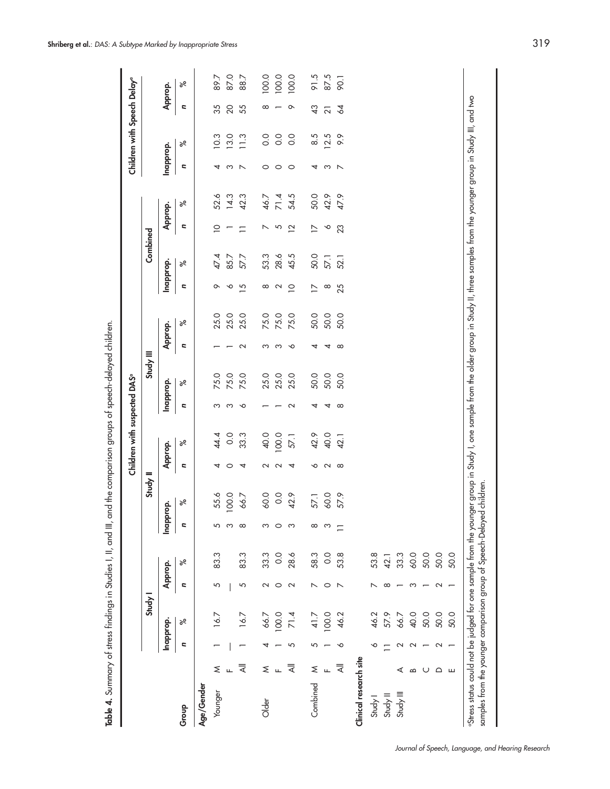|                                                                                                                                                                                                                                                                      |                   |                    |           |                |         |            |                     |                 | Children with suspected DAS <sup>°</sup> |           |           |                 |         |                |          |                       |      |                          | Children with Speech Delay <sup>a</sup> |                |             |
|----------------------------------------------------------------------------------------------------------------------------------------------------------------------------------------------------------------------------------------------------------------------|-------------------|--------------------|-----------|----------------|---------|------------|---------------------|-----------------|------------------------------------------|-----------|-----------|-----------------|---------|----------------|----------|-----------------------|------|--------------------------|-----------------------------------------|----------------|-------------|
|                                                                                                                                                                                                                                                                      |                   |                    |           | Study I        |         |            | Study <sup>II</sup> |                 |                                          |           | Study III |                 |         |                | Combined |                       |      |                          |                                         |                |             |
|                                                                                                                                                                                                                                                                      |                   |                    | Inapprop. |                | Approp. | Inapprop.  |                     | Approp.         |                                          | Inapprop. |           |                 | Approp. | Inapprop.      |          | Approp.               |      | Inapprop.                |                                         |                | Approp.     |
| Group                                                                                                                                                                                                                                                                |                   | Ξ                  | ಸಿ        | c              | ಸ       | c          | $\aleph$            | c               | ಸ                                        | ς         | ಸ         | c               | ಸ       | Ξ              | ಸ        | c                     | ಸ    | Ξ                        | ಸ                                       | ς              | ಸ           |
| Age/Gender                                                                                                                                                                                                                                                           |                   |                    |           |                |         |            |                     |                 |                                          |           |           |                 |         |                |          |                       |      |                          |                                         |                |             |
| Younger                                                                                                                                                                                                                                                              | z                 |                    | 16.7      | 5              | 83.3    | 5          | 55.6                | 4               | 44.4                                     | S         | 75.0      |                 | 25.0    | ᡐ              | 47.4     | $\overline{a}$        | 52.6 | 4                        | 10.3                                    | 35             | 89.7        |
|                                                                                                                                                                                                                                                                      |                   |                    |           |                |         | က          | 100.0               | $\circ$         | $\overline{O}$ .                         | S         | 75.0      |                 | 25.0    | ╰              | 85.7     |                       | 14.3 | က                        | 13.0                                    | $\infty$       | 87.0        |
|                                                                                                                                                                                                                                                                      | ₹                 |                    | 16.7      | 5              | 83.3    | $\infty$   | 66.7                | ₹               | 33.3                                     | $\sim$    | 75.0      | $\mathbf{\sim}$ | 25.0    | 5              | 57.7     | $\equiv$              | 42.3 | $\overline{\phantom{a}}$ | 11.3                                    | 55             | 88.7        |
| Older                                                                                                                                                                                                                                                                | ₹                 |                    | 66.7      | $\mathbf 2$    | 33.3    | က          | 60.0                | 2               | 40.0                                     |           | 25.0      | က               | 75.0    | $\infty$       | 53.3     | ↖                     | 46.7 | 0                        | $\overline{O}$ .                        | ∞              | 100.0       |
|                                                                                                                                                                                                                                                                      |                   |                    | 100.0     | $\circ$        | 0.0     | $\circ$    | $\overline{O}$ .    | $\sim$          | 100.0                                    |           | 25.0      | က               | 75.0    | $\sim$         | 28.6     | 5                     | 71.4 | $\circ$                  | 0.0                                     |                | 100.0       |
|                                                                                                                                                                                                                                                                      | ₹                 | 5                  | 71.4      | $\mathbf 2$    | 28.6    | က          | 42.9                | 丼               | 57.1                                     | $\sim$    | 25.0      | $\sim$          | 75.0    | $\overline{C}$ | 45.5     | $\overline{2}$        | 54.5 | $\circ$                  | $\overline{O}$                          | $\circ$        | 100.0       |
| Combined                                                                                                                                                                                                                                                             | ₹                 | 5                  | 41.7      | ↖              | 58.3    | $^{\circ}$ | 57.1                | ∘               | 42.9                                     | 4         | 50.0      | 4               | 50.0    | $\geq$         | 50.0     | $\geq$                | 50.0 | 4                        | 8.5                                     | 43             | 91.5        |
|                                                                                                                                                                                                                                                                      |                   |                    | 100.0     | $\circ$        | 0.0     | S          | 60.0                | $\sim$ $\infty$ | 40.0                                     | 4         | 50.0      | 4               | 50.0    | $\infty$       | 57.1     | $\breve{\phantom{a}}$ | 42.9 | S                        | 12.5                                    | $\overline{2}$ | 87.5        |
|                                                                                                                                                                                                                                                                      | ₹                 | ╰                  | 46.2      | $\overline{ }$ | 53.8    | $\Box$     | 57.9                |                 | 42.1                                     | $\infty$  | 50.0      | $\infty$        | 50.0    | 25             | 52.1     | 23                    | 47.9 | $\overline{\phantom{a}}$ | 9.9                                     | $\mathcal{A}$  | <b>PO.1</b> |
| Clinical research site                                                                                                                                                                                                                                               |                   |                    |           |                |         |            |                     |                 |                                          |           |           |                 |         |                |          |                       |      |                          |                                         |                |             |
| $5$ tudy                                                                                                                                                                                                                                                             |                   |                    | 46.2      |                | 53.8    |            |                     |                 |                                          |           |           |                 |         |                |          |                       |      |                          |                                         |                |             |
| Study <sup>II</sup>                                                                                                                                                                                                                                                  |                   |                    | 57.9      | $\infty$       | 42.1    |            |                     |                 |                                          |           |           |                 |         |                |          |                       |      |                          |                                         |                |             |
| Study III                                                                                                                                                                                                                                                            | ⋖                 | $\scriptstyle\sim$ | 66.7      |                | 33.3    |            |                     |                 |                                          |           |           |                 |         |                |          |                       |      |                          |                                         |                |             |
|                                                                                                                                                                                                                                                                      | $\mathbf{\Omega}$ | $\scriptstyle\sim$ | 40.0      | က              | 60.0    |            |                     |                 |                                          |           |           |                 |         |                |          |                       |      |                          |                                         |                |             |
|                                                                                                                                                                                                                                                                      | ပ                 |                    | 50.0      |                | 50.0    |            |                     |                 |                                          |           |           |                 |         |                |          |                       |      |                          |                                         |                |             |
|                                                                                                                                                                                                                                                                      | $\triangle$       | $\mathbf 2$        | 50.0      | $\mathbf 2$    | 50.0    |            |                     |                 |                                          |           |           |                 |         |                |          |                       |      |                          |                                         |                |             |
|                                                                                                                                                                                                                                                                      | Щ                 |                    | 50.0      |                | 50.0    |            |                     |                 |                                          |           |           |                 |         |                |          |                       |      |                          |                                         |                |             |
| Stress status could not be judged for one sample from the younger group in Study I, one sample from the older group in Study II, three samples from the younger group in Study III, and two<br>samples from the younger comparison group of Speech-Delayed children. |                   |                    |           |                |         |            |                     |                 |                                          |           |           |                 |         |                |          |                       |      |                          |                                         |                |             |
|                                                                                                                                                                                                                                                                      |                   |                    |           |                |         |            |                     |                 |                                          |           |           |                 |         |                |          |                       |      |                          |                                         |                |             |

Table 4. Summary of stress findings in Studies I, II, and III, and the comparison groups of speech-delayed children.<br>-**Table 4.** Summary of stress findings in Studies I, II, and III, and the comparison groups of speech-delayed children.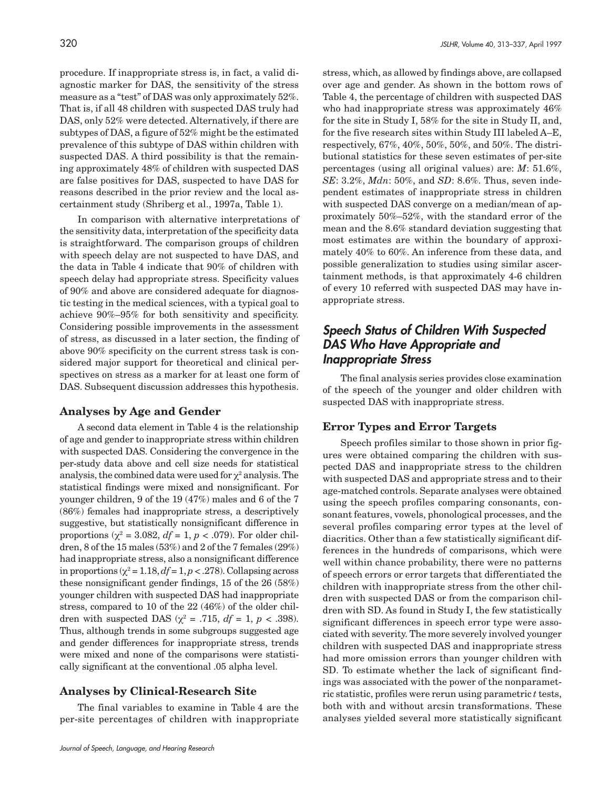procedure. If inappropriate stress is, in fact, a valid diagnostic marker for DAS, the sensitivity of the stress measure as a "test" of DAS was only approximately 52%. That is, if all 48 children with suspected DAS truly had DAS, only 52% were detected. Alternatively, if there are subtypes of DAS, a figure of 52% might be the estimated prevalence of this subtype of DAS within children with suspected DAS. A third possibility is that the remaining approximately 48% of children with suspected DAS are false positives for DAS, suspected to have DAS for reasons described in the prior review and the local ascertainment study (Shriberg et al., 1997a, Table 1).

In comparison with alternative interpretations of the sensitivity data, interpretation of the specificity data is straightforward. The comparison groups of children with speech delay are not suspected to have DAS, and the data in Table 4 indicate that 90% of children with speech delay had appropriate stress. Specificity values of 90% and above are considered adequate for diagnostic testing in the medical sciences, with a typical goal to achieve 90%–95% for both sensitivity and specificity. Considering possible improvements in the assessment of stress, as discussed in a later section, the finding of above 90% specificity on the current stress task is considered major support for theoretical and clinical perspectives on stress as a marker for at least one form of DAS. Subsequent discussion addresses this hypothesis.

#### **Analyses by Age and Gender**

A second data element in Table 4 is the relationship of age and gender to inappropriate stress within children with suspected DAS. Considering the convergence in the per-study data above and cell size needs for statistical analysis, the combined data were used for  $\chi^2$  analysis. The statistical findings were mixed and nonsignificant. For younger children, 9 of the 19 (47%) males and 6 of the 7 (86%) females had inappropriate stress, a descriptively suggestive, but statistically nonsignificant difference in proportions ( $\chi^2$  = 3.082,  $df = 1$ ,  $p < .079$ ). For older children, 8 of the 15 males (53%) and 2 of the 7 females (29%) had inappropriate stress, also a nonsignificant difference in proportions ( $\chi^2$  = 1.18, *df* = 1, *p* < .278). Collapsing across these nonsignificant gender findings, 15 of the 26 (58%) younger children with suspected DAS had inappropriate stress, compared to 10 of the 22 (46%) of the older children with suspected DAS ( $\chi^2$  = .715,  $df = 1$ ,  $p < .398$ ). Thus, although trends in some subgroups suggested age and gender differences for inappropriate stress, trends were mixed and none of the comparisons were statistically significant at the conventional .05 alpha level.

#### **Analyses by Clinical-Research Site**

The final variables to examine in Table 4 are the per-site percentages of children with inappropriate stress, which, as allowed by findings above, are collapsed over age and gender. As shown in the bottom rows of Table 4, the percentage of children with suspected DAS who had inappropriate stress was approximately 46% for the site in Study I, 58% for the site in Study II, and, for the five research sites within Study III labeled A–E, respectively, 67%, 40%, 50%, 50%, and 50%. The distributional statistics for these seven estimates of per-site percentages (using all original values) are: *M*: 51.6%, *SE*: 3.2%, *Mdn*: 50%, and *SD*: 8.6%. Thus, seven independent estimates of inappropriate stress in children with suspected DAS converge on a median/mean of approximately 50%–52%, with the standard error of the mean and the 8.6% standard deviation suggesting that most estimates are within the boundary of approximately 40% to 60%. An inference from these data, and possible generalization to studies using similar ascertainment methods, is that approximately 4-6 children of every 10 referred with suspected DAS may have inappropriate stress.

## **Speech Status of Children With Suspected DAS Who Have Appropriate and Inappropriate Stress**

The final analysis series provides close examination of the speech of the younger and older children with suspected DAS with inappropriate stress.

#### **Error Types and Error Targets**

Speech profiles similar to those shown in prior figures were obtained comparing the children with suspected DAS and inappropriate stress to the children with suspected DAS and appropriate stress and to their age-matched controls. Separate analyses were obtained using the speech profiles comparing consonants, consonant features, vowels, phonological processes, and the several profiles comparing error types at the level of diacritics. Other than a few statistically significant differences in the hundreds of comparisons, which were well within chance probability, there were no patterns of speech errors or error targets that differentiated the children with inappropriate stress from the other children with suspected DAS or from the comparison children with SD. As found in Study I, the few statistically significant differences in speech error type were associated with severity. The more severely involved younger children with suspected DAS and inappropriate stress had more omission errors than younger children with SD. To estimate whether the lack of significant findings was associated with the power of the nonparametric statistic, profiles were rerun using parametric *t* tests, both with and without arcsin transformations. These analyses yielded several more statistically significant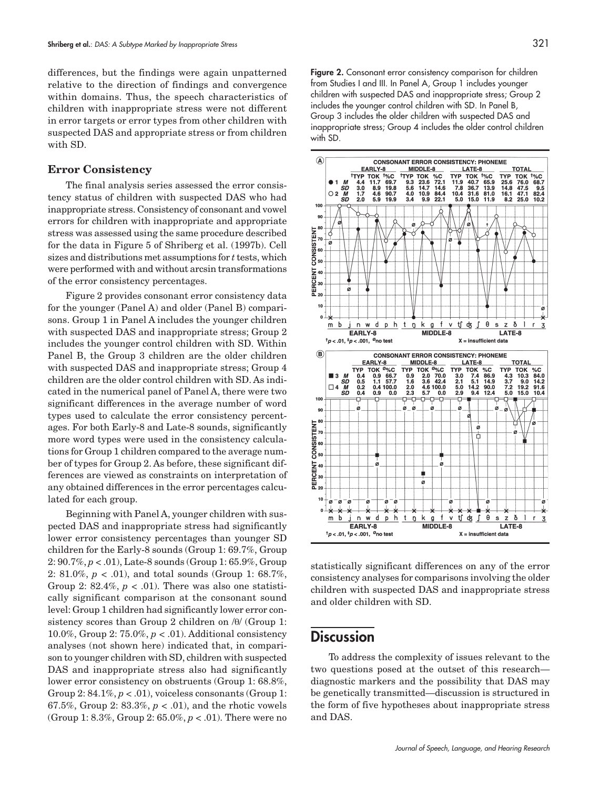differences, but the findings were again unpatterned relative to the direction of findings and convergence within domains. Thus, the speech characteristics of children with inappropriate stress were not different in error targets or error types from other children with suspected DAS and appropriate stress or from children with SD.

#### **Error Consistency**

The final analysis series assessed the error consistency status of children with suspected DAS who had inappropriate stress. Consistency of consonant and vowel errors for children with inappropriate and appropriate stress was assessed using the same procedure described for the data in Figure 5 of Shriberg et al. (1997b). Cell sizes and distributions met assumptions for *t* tests, which were performed with and without arcsin transformations of the error consistency percentages.

Figure 2 provides consonant error consistency data for the younger (Panel A) and older (Panel B) comparisons. Group 1 in Panel A includes the younger children with suspected DAS and inappropriate stress; Group 2 includes the younger control children with SD. Within Panel B, the Group 3 children are the older children with suspected DAS and inappropriate stress; Group 4 children are the older control children with SD. As indicated in the numerical panel of Panel A, there were two significant differences in the average number of word types used to calculate the error consistency percentages. For both Early-8 and Late-8 sounds, significantly more word types were used in the consistency calculations for Group 1 children compared to the average number of types for Group 2. As before, these significant differences are viewed as constraints on interpretation of any obtained differences in the error percentages calculated for each group.

Beginning with Panel A, younger children with suspected DAS and inappropriate stress had significantly lower error consistency percentages than younger SD children for the Early-8 sounds (Group 1: 69.7%, Group 2: 90.7%, *p* < .01), Late-8 sounds (Group 1: 65.9%, Group 2: 81.0%, *p* < .01), and total sounds (Group 1: 68.7%, Group 2: 82.4%,  $p < .01$ ). There was also one statistically significant comparison at the consonant sound level: Group 1 children had significantly lower error consistency scores than Group 2 children on  $\theta$ / (Group 1: 10.0%, Group 2: 75.0%, *p* < .01). Additional consistency analyses (not shown here) indicated that, in comparison to younger children with SD, children with suspected DAS and inappropriate stress also had significantly lower error consistency on obstruents (Group 1: 68.8%, Group 2:  $84.1\%$ ,  $p < .01$ ), voiceless consonants (Group 1: 67.5%, Group 2: 83.3%, *p* < .01), and the rhotic vowels (Group 1: 8.3%, Group 2: 65.0%, *p* < .01). There were no

**Figure 2.** Consonant error consistency comparison for children from Studies I and III. In Panel A, Group 1 includes younger children with suspected DAS and inappropriate stress; Group 2 includes the younger control children with SD. In Panel B, Group 3 includes the older children with suspected DAS and inappropriate stress; Group 4 includes the older control children with SD.



statistically significant differences on any of the error consistency analyses for comparisons involving the older children with suspected DAS and inappropriate stress and older children with SD.

## **Discussion**

To address the complexity of issues relevant to the two questions posed at the outset of this research diagnostic markers and the possibility that DAS may be genetically transmitted—discussion is structured in the form of five hypotheses about inappropriate stress and DAS.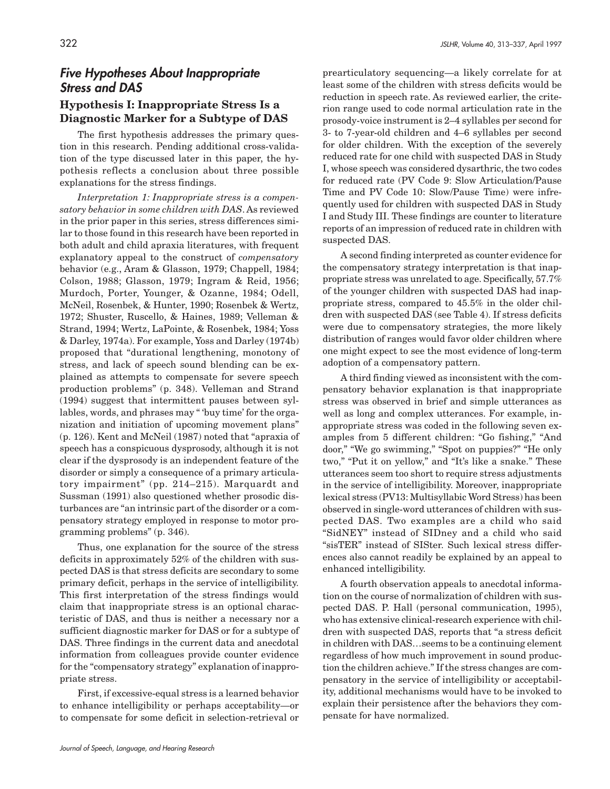## **Five Hypotheses About Inappropriate Stress and DAS**

## **Hypothesis I: Inappropriate Stress Is a Diagnostic Marker for a Subtype of DAS**

The first hypothesis addresses the primary question in this research. Pending additional cross-validation of the type discussed later in this paper, the hypothesis reflects a conclusion about three possible explanations for the stress findings.

*Interpretation 1: Inappropriate stress is a compensatory behavior in some children with DAS*. As reviewed in the prior paper in this series, stress differences similar to those found in this research have been reported in both adult and child apraxia literatures, with frequent explanatory appeal to the construct of *compensatory* behavior (e.g., Aram & Glasson, 1979; Chappell, 1984; Colson, 1988; Glasson, 1979; Ingram & Reid, 1956; Murdoch, Porter, Younger, & Ozanne, 1984; Odell, McNeil, Rosenbek, & Hunter, 1990; Rosenbek & Wertz, 1972; Shuster, Ruscello, & Haines, 1989; Velleman & Strand, 1994; Wertz, LaPointe, & Rosenbek, 1984; Yoss & Darley, 1974a). For example, Yoss and Darley (1974b) proposed that "durational lengthening, monotony of stress, and lack of speech sound blending can be explained as attempts to compensate for severe speech production problems" (p. 348). Velleman and Strand (1994) suggest that intermittent pauses between syllables, words, and phrases may " 'buy time' for the organization and initiation of upcoming movement plans" (p. 126). Kent and McNeil (1987) noted that "apraxia of speech has a conspicuous dysprosody, although it is not clear if the dysprosody is an independent feature of the disorder or simply a consequence of a primary articulatory impairment" (pp. 214–215). Marquardt and Sussman (1991) also questioned whether prosodic disturbances are "an intrinsic part of the disorder or a compensatory strategy employed in response to motor programming problems" (p. 346).

Thus, one explanation for the source of the stress deficits in approximately 52% of the children with suspected DAS is that stress deficits are secondary to some primary deficit, perhaps in the service of intelligibility. This first interpretation of the stress findings would claim that inappropriate stress is an optional characteristic of DAS, and thus is neither a necessary nor a sufficient diagnostic marker for DAS or for a subtype of DAS. Three findings in the current data and anecdotal information from colleagues provide counter evidence for the "compensatory strategy" explanation of inappropriate stress.

First, if excessive-equal stress is a learned behavior to enhance intelligibility or perhaps acceptability—or to compensate for some deficit in selection-retrieval or prearticulatory sequencing—a likely correlate for at least some of the children with stress deficits would be reduction in speech rate. As reviewed earlier, the criterion range used to code normal articulation rate in the prosody-voice instrument is 2–4 syllables per second for 3- to 7-year-old children and 4–6 syllables per second for older children. With the exception of the severely reduced rate for one child with suspected DAS in Study I, whose speech was considered dysarthric, the two codes for reduced rate (PV Code 9: Slow Articulation/Pause Time and PV Code 10: Slow/Pause Time) were infrequently used for children with suspected DAS in Study I and Study III. These findings are counter to literature reports of an impression of reduced rate in children with suspected DAS.

A second finding interpreted as counter evidence for the compensatory strategy interpretation is that inappropriate stress was unrelated to age. Specifically, 57.7% of the younger children with suspected DAS had inappropriate stress, compared to 45.5% in the older children with suspected DAS (see Table 4). If stress deficits were due to compensatory strategies, the more likely distribution of ranges would favor older children where one might expect to see the most evidence of long-term adoption of a compensatory pattern.

A third finding viewed as inconsistent with the compensatory behavior explanation is that inappropriate stress was observed in brief and simple utterances as well as long and complex utterances. For example, inappropriate stress was coded in the following seven examples from 5 different children: "Go fishing," "And door," "We go swimming," "Spot on puppies?" "He only two," "Put it on yellow," and "It's like a snake." These utterances seem too short to require stress adjustments in the service of intelligibility. Moreover, inappropriate lexical stress (PV13: Multisyllabic Word Stress) has been observed in single-word utterances of children with suspected DAS. Two examples are a child who said "SidNEY" instead of SIDney and a child who said "sisTER" instead of SISter. Such lexical stress differences also cannot readily be explained by an appeal to enhanced intelligibility.

A fourth observation appeals to anecdotal information on the course of normalization of children with suspected DAS. P. Hall (personal communication, 1995), who has extensive clinical-research experience with children with suspected DAS, reports that "a stress deficit in children with DAS…seems to be a continuing element regardless of how much improvement in sound production the children achieve." If the stress changes are compensatory in the service of intelligibility or acceptability, additional mechanisms would have to be invoked to explain their persistence after the behaviors they compensate for have normalized.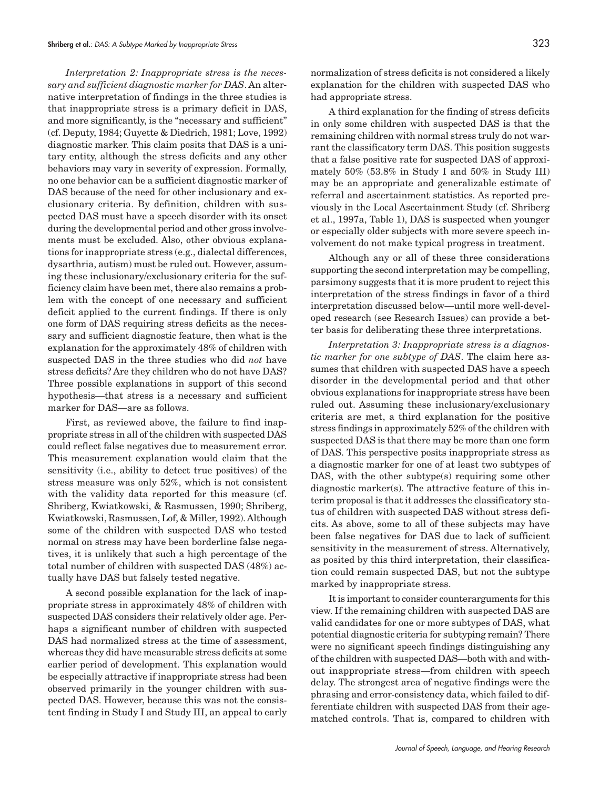*Interpretation 2: Inappropriate stress is the necessary and sufficient diagnostic marker for DAS*. An alternative interpretation of findings in the three studies is that inappropriate stress is a primary deficit in DAS, and more significantly, is the "necessary and sufficient" (cf. Deputy, 1984; Guyette & Diedrich, 1981; Love, 1992) diagnostic marker. This claim posits that DAS is a unitary entity, although the stress deficits and any other behaviors may vary in severity of expression. Formally, no one behavior can be a sufficient diagnostic marker of DAS because of the need for other inclusionary and exclusionary criteria. By definition, children with suspected DAS must have a speech disorder with its onset during the developmental period and other gross involvements must be excluded. Also, other obvious explanations for inappropriate stress (e.g., dialectal differences, dysarthria, autism) must be ruled out. However, assuming these inclusionary/exclusionary criteria for the sufficiency claim have been met, there also remains a problem with the concept of one necessary and sufficient deficit applied to the current findings. If there is only one form of DAS requiring stress deficits as the necessary and sufficient diagnostic feature, then what is the explanation for the approximately 48% of children with suspected DAS in the three studies who did *not* have stress deficits? Are they children who do not have DAS? Three possible explanations in support of this second hypothesis—that stress is a necessary and sufficient marker for DAS—are as follows.

First, as reviewed above, the failure to find inappropriate stress in all of the children with suspected DAS could reflect false negatives due to measurement error. This measurement explanation would claim that the sensitivity (i.e., ability to detect true positives) of the stress measure was only 52%, which is not consistent with the validity data reported for this measure (cf. Shriberg, Kwiatkowski, & Rasmussen, 1990; Shriberg, Kwiatkowski, Rasmussen, Lof, & Miller, 1992). Although some of the children with suspected DAS who tested normal on stress may have been borderline false negatives, it is unlikely that such a high percentage of the total number of children with suspected DAS (48%) actually have DAS but falsely tested negative.

A second possible explanation for the lack of inappropriate stress in approximately 48% of children with suspected DAS considers their relatively older age. Perhaps a significant number of children with suspected DAS had normalized stress at the time of assessment, whereas they did have measurable stress deficits at some earlier period of development. This explanation would be especially attractive if inappropriate stress had been observed primarily in the younger children with suspected DAS. However, because this was not the consistent finding in Study I and Study III, an appeal to early normalization of stress deficits is not considered a likely explanation for the children with suspected DAS who had appropriate stress.

A third explanation for the finding of stress deficits in only some children with suspected DAS is that the remaining children with normal stress truly do not warrant the classificatory term DAS. This position suggests that a false positive rate for suspected DAS of approximately 50% (53.8% in Study I and 50% in Study III) may be an appropriate and generalizable estimate of referral and ascertainment statistics. As reported previously in the Local Ascertainment Study (cf. Shriberg et al., 1997a, Table 1), DAS is suspected when younger or especially older subjects with more severe speech involvement do not make typical progress in treatment.

Although any or all of these three considerations supporting the second interpretation may be compelling, parsimony suggests that it is more prudent to reject this interpretation of the stress findings in favor of a third interpretation discussed below—until more well-developed research (see Research Issues) can provide a better basis for deliberating these three interpretations.

*Interpretation 3: Inappropriate stress is a diagnostic marker for one subtype of DAS*. The claim here assumes that children with suspected DAS have a speech disorder in the developmental period and that other obvious explanations for inappropriate stress have been ruled out. Assuming these inclusionary/exclusionary criteria are met, a third explanation for the positive stress findings in approximately 52% of the children with suspected DAS is that there may be more than one form of DAS. This perspective posits inappropriate stress as a diagnostic marker for one of at least two subtypes of DAS, with the other subtype(s) requiring some other diagnostic marker(s). The attractive feature of this interim proposal is that it addresses the classificatory status of children with suspected DAS without stress deficits. As above, some to all of these subjects may have been false negatives for DAS due to lack of sufficient sensitivity in the measurement of stress. Alternatively, as posited by this third interpretation, their classification could remain suspected DAS, but not the subtype marked by inappropriate stress.

It is important to consider counterarguments for this view. If the remaining children with suspected DAS are valid candidates for one or more subtypes of DAS, what potential diagnostic criteria for subtyping remain? There were no significant speech findings distinguishing any of the children with suspected DAS—both with and without inappropriate stress—from children with speech delay. The strongest area of negative findings were the phrasing and error-consistency data, which failed to differentiate children with suspected DAS from their agematched controls. That is, compared to children with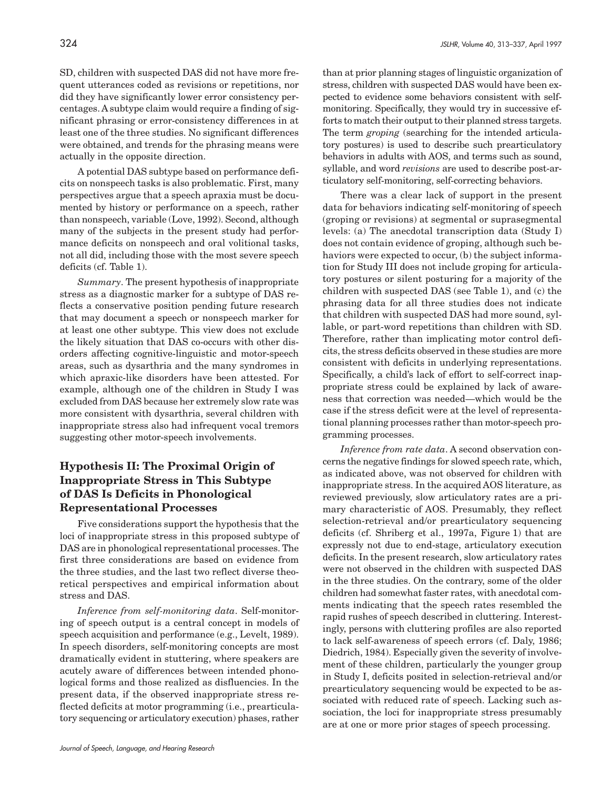SD, children with suspected DAS did not have more frequent utterances coded as revisions or repetitions, nor did they have significantly lower error consistency percentages. A subtype claim would require a finding of significant phrasing or error-consistency differences in at least one of the three studies. No significant differences were obtained, and trends for the phrasing means were actually in the opposite direction.

A potential DAS subtype based on performance deficits on nonspeech tasks is also problematic. First, many perspectives argue that a speech apraxia must be documented by history or performance on a speech, rather than nonspeech, variable (Love, 1992). Second, although many of the subjects in the present study had performance deficits on nonspeech and oral volitional tasks, not all did, including those with the most severe speech deficits (cf. Table 1).

*Summary*. The present hypothesis of inappropriate stress as a diagnostic marker for a subtype of DAS reflects a conservative position pending future research that may document a speech or nonspeech marker for at least one other subtype. This view does not exclude the likely situation that DAS co-occurs with other disorders affecting cognitive-linguistic and motor-speech areas, such as dysarthria and the many syndromes in which apraxic-like disorders have been attested. For example, although one of the children in Study I was excluded from DAS because her extremely slow rate was more consistent with dysarthria, several children with inappropriate stress also had infrequent vocal tremors suggesting other motor-speech involvements.

## **Hypothesis II: The Proximal Origin of Inappropriate Stress in This Subtype of DAS Is Deficits in Phonological Representational Processes**

Five considerations support the hypothesis that the loci of inappropriate stress in this proposed subtype of DAS are in phonological representational processes. The first three considerations are based on evidence from the three studies, and the last two reflect diverse theoretical perspectives and empirical information about stress and DAS.

*Inference from self-monitoring data*. Self-monitoring of speech output is a central concept in models of speech acquisition and performance (e.g., Levelt, 1989). In speech disorders, self-monitoring concepts are most dramatically evident in stuttering, where speakers are acutely aware of differences between intended phonological forms and those realized as disfluencies. In the present data, if the observed inappropriate stress reflected deficits at motor programming (i.e., prearticulatory sequencing or articulatory execution) phases, rather

than at prior planning stages of linguistic organization of stress, children with suspected DAS would have been expected to evidence some behaviors consistent with selfmonitoring. Specifically, they would try in successive efforts to match their output to their planned stress targets. The term *groping* (searching for the intended articulatory postures) is used to describe such prearticulatory behaviors in adults with AOS, and terms such as sound, syllable, and word *revisions* are used to describe post-articulatory self-monitoring, self-correcting behaviors.

There was a clear lack of support in the present data for behaviors indicating self-monitoring of speech (groping or revisions) at segmental or suprasegmental levels: (a) The anecdotal transcription data (Study I) does not contain evidence of groping, although such behaviors were expected to occur, (b) the subject information for Study III does not include groping for articulatory postures or silent posturing for a majority of the children with suspected DAS (see Table 1), and (c) the phrasing data for all three studies does not indicate that children with suspected DAS had more sound, syllable, or part-word repetitions than children with SD. Therefore, rather than implicating motor control deficits, the stress deficits observed in these studies are more consistent with deficits in underlying representations. Specifically, a child's lack of effort to self-correct inappropriate stress could be explained by lack of awareness that correction was needed—which would be the case if the stress deficit were at the level of representational planning processes rather than motor-speech programming processes.

*Inference from rate data*. A second observation concerns the negative findings for slowed speech rate, which, as indicated above, was not observed for children with inappropriate stress. In the acquired AOS literature, as reviewed previously, slow articulatory rates are a primary characteristic of AOS. Presumably, they reflect selection-retrieval and/or prearticulatory sequencing deficits (cf. Shriberg et al., 1997a, Figure 1) that are expressly not due to end-stage, articulatory execution deficits. In the present research, slow articulatory rates were not observed in the children with suspected DAS in the three studies. On the contrary, some of the older children had somewhat faster rates, with anecdotal comments indicating that the speech rates resembled the rapid rushes of speech described in cluttering. Interestingly, persons with cluttering profiles are also reported to lack self-awareness of speech errors (cf. Daly, 1986; Diedrich, 1984). Especially given the severity of involvement of these children, particularly the younger group in Study I, deficits posited in selection-retrieval and/or prearticulatory sequencing would be expected to be associated with reduced rate of speech. Lacking such association, the loci for inappropriate stress presumably are at one or more prior stages of speech processing.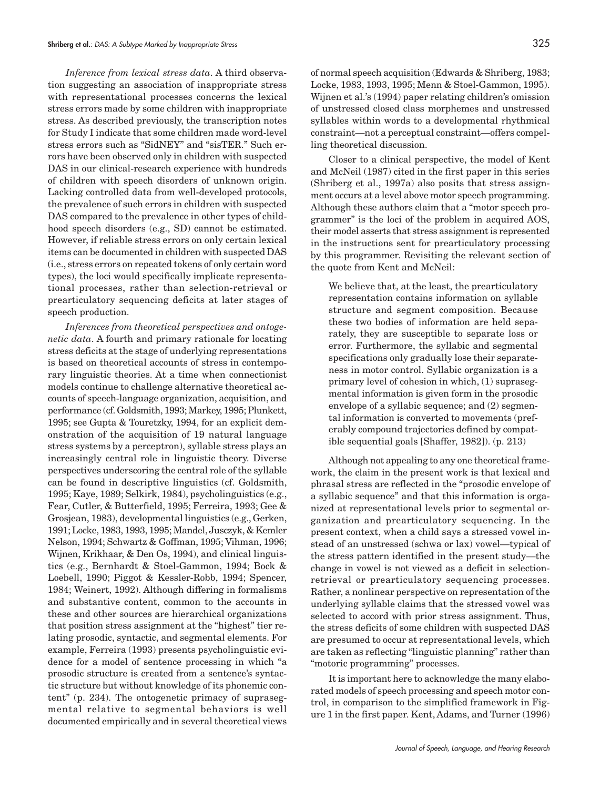*Inference from lexical stress data*. A third observation suggesting an association of inappropriate stress with representational processes concerns the lexical stress errors made by some children with inappropriate stress. As described previously, the transcription notes for Study I indicate that some children made word-level stress errors such as "SidNEY" and "sisTER." Such errors have been observed only in children with suspected DAS in our clinical-research experience with hundreds of children with speech disorders of unknown origin. Lacking controlled data from well-developed protocols, the prevalence of such errors in children with suspected DAS compared to the prevalence in other types of childhood speech disorders (e.g., SD) cannot be estimated. However, if reliable stress errors on only certain lexical items can be documented in children with suspected DAS (i.e., stress errors on repeated tokens of only certain word types), the loci would specifically implicate representational processes, rather than selection-retrieval or prearticulatory sequencing deficits at later stages of speech production.

*Inferences from theoretical perspectives and ontogenetic data*. A fourth and primary rationale for locating stress deficits at the stage of underlying representations is based on theoretical accounts of stress in contemporary linguistic theories. At a time when connectionist models continue to challenge alternative theoretical accounts of speech-language organization, acquisition, and performance (cf. Goldsmith, 1993; Markey, 1995; Plunkett, 1995; see Gupta & Touretzky, 1994, for an explicit demonstration of the acquisition of 19 natural language stress systems by a perceptron), syllable stress plays an increasingly central role in linguistic theory. Diverse perspectives underscoring the central role of the syllable can be found in descriptive linguistics (cf. Goldsmith, 1995; Kaye, 1989; Selkirk, 1984), psycholinguistics (e.g., Fear, Cutler, & Butterfield, 1995; Ferreira, 1993; Gee & Grosjean, 1983), developmental linguistics (e.g., Gerken, 1991; Locke, 1983, 1993, 1995; Mandel, Jusczyk, & Kemler Nelson, 1994; Schwartz & Goffman, 1995; Vihman, 1996; Wijnen, Krikhaar, & Den Os, 1994), and clinical linguistics (e.g., Bernhardt & Stoel-Gammon, 1994; Bock & Loebell, 1990; Piggot & Kessler-Robb, 1994; Spencer, 1984; Weinert, 1992). Although differing in formalisms and substantive content, common to the accounts in these and other sources are hierarchical organizations that position stress assignment at the "highest" tier relating prosodic, syntactic, and segmental elements. For example, Ferreira (1993) presents psycholinguistic evidence for a model of sentence processing in which "a prosodic structure is created from a sentence's syntactic structure but without knowledge of its phonemic content" (p. 234). The ontogenetic primacy of suprasegmental relative to segmental behaviors is well documented empirically and in several theoretical views

of normal speech acquisition (Edwards & Shriberg, 1983; Locke, 1983, 1993, 1995; Menn & Stoel-Gammon, 1995). Wijnen et al.'s (1994) paper relating children's omission of unstressed closed class morphemes and unstressed syllables within words to a developmental rhythmical constraint—not a perceptual constraint—offers compelling theoretical discussion.

Closer to a clinical perspective, the model of Kent and McNeil (1987) cited in the first paper in this series (Shriberg et al., 1997a) also posits that stress assignment occurs at a level above motor speech programming. Although these authors claim that a "motor speech programmer" is the loci of the problem in acquired AOS, their model asserts that stress assignment is represented in the instructions sent for prearticulatory processing by this programmer. Revisiting the relevant section of the quote from Kent and McNeil:

We believe that, at the least, the prearticulatory representation contains information on syllable structure and segment composition. Because these two bodies of information are held separately, they are susceptible to separate loss or error. Furthermore, the syllabic and segmental specifications only gradually lose their separateness in motor control. Syllabic organization is a primary level of cohesion in which, (1) suprasegmental information is given form in the prosodic envelope of a syllabic sequence; and (2) segmental information is converted to movements (preferably compound trajectories defined by compatible sequential goals [Shaffer, 1982]). (p. 213)

Although not appealing to any one theoretical framework, the claim in the present work is that lexical and phrasal stress are reflected in the "prosodic envelope of a syllabic sequence" and that this information is organized at representational levels prior to segmental organization and prearticulatory sequencing. In the present context, when a child says a stressed vowel instead of an unstressed (schwa or lax) vowel—typical of the stress pattern identified in the present study—the change in vowel is not viewed as a deficit in selectionretrieval or prearticulatory sequencing processes. Rather, a nonlinear perspective on representation of the underlying syllable claims that the stressed vowel was selected to accord with prior stress assignment. Thus, the stress deficits of some children with suspected DAS are presumed to occur at representational levels, which are taken as reflecting "linguistic planning" rather than "motoric programming" processes.

It is important here to acknowledge the many elaborated models of speech processing and speech motor control, in comparison to the simplified framework in Figure 1 in the first paper. Kent, Adams, and Turner (1996)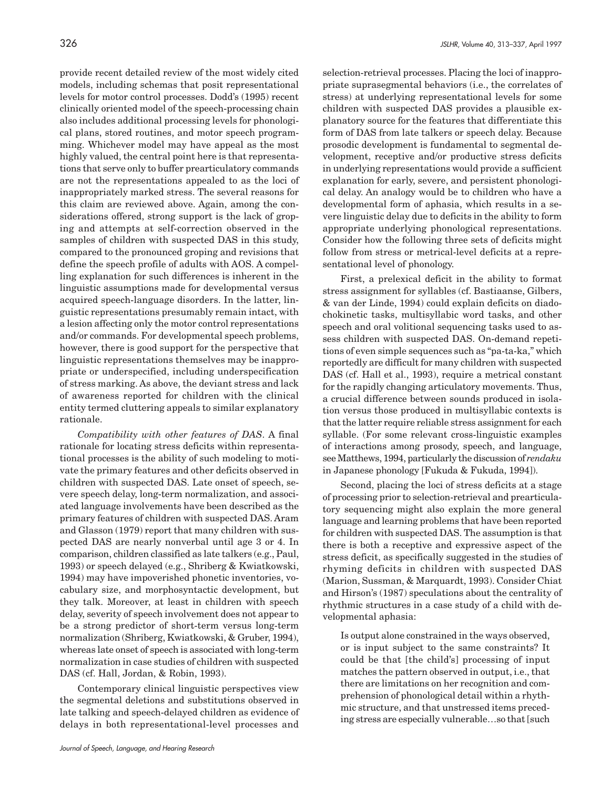provide recent detailed review of the most widely cited models, including schemas that posit representational levels for motor control processes. Dodd's (1995) recent clinically oriented model of the speech-processing chain also includes additional processing levels for phonological plans, stored routines, and motor speech programming. Whichever model may have appeal as the most highly valued, the central point here is that representations that serve only to buffer prearticulatory commands are not the representations appealed to as the loci of inappropriately marked stress. The several reasons for this claim are reviewed above. Again, among the considerations offered, strong support is the lack of groping and attempts at self-correction observed in the samples of children with suspected DAS in this study, compared to the pronounced groping and revisions that define the speech profile of adults with AOS. A compelling explanation for such differences is inherent in the linguistic assumptions made for developmental versus acquired speech-language disorders. In the latter, linguistic representations presumably remain intact, with a lesion affecting only the motor control representations and/or commands. For developmental speech problems, however, there is good support for the perspective that linguistic representations themselves may be inappropriate or underspecified, including underspecification of stress marking. As above, the deviant stress and lack of awareness reported for children with the clinical entity termed cluttering appeals to similar explanatory rationale.

*Compatibility with other features of DAS*. A final rationale for locating stress deficits within representational processes is the ability of such modeling to motivate the primary features and other deficits observed in children with suspected DAS. Late onset of speech, severe speech delay, long-term normalization, and associated language involvements have been described as the primary features of children with suspected DAS. Aram and Glasson (1979) report that many children with suspected DAS are nearly nonverbal until age 3 or 4. In comparison, children classified as late talkers (e.g., Paul, 1993) or speech delayed (e.g., Shriberg & Kwiatkowski, 1994) may have impoverished phonetic inventories, vocabulary size, and morphosyntactic development, but they talk. Moreover, at least in children with speech delay, severity of speech involvement does not appear to be a strong predictor of short-term versus long-term normalization (Shriberg, Kwiatkowski, & Gruber, 1994), whereas late onset of speech is associated with long-term normalization in case studies of children with suspected DAS (cf. Hall, Jordan, & Robin, 1993).

Contemporary clinical linguistic perspectives view the segmental deletions and substitutions observed in late talking and speech-delayed children as evidence of delays in both representational-level processes and

selection-retrieval processes. Placing the loci of inappropriate suprasegmental behaviors (i.e., the correlates of stress) at underlying representational levels for some children with suspected DAS provides a plausible explanatory source for the features that differentiate this form of DAS from late talkers or speech delay. Because prosodic development is fundamental to segmental development, receptive and/or productive stress deficits in underlying representations would provide a sufficient explanation for early, severe, and persistent phonological delay. An analogy would be to children who have a developmental form of aphasia, which results in a severe linguistic delay due to deficits in the ability to form appropriate underlying phonological representations. Consider how the following three sets of deficits might follow from stress or metrical-level deficits at a representational level of phonology.

First, a prelexical deficit in the ability to format stress assignment for syllables (cf. Bastiaanse, Gilbers, & van der Linde, 1994) could explain deficits on diadochokinetic tasks, multisyllabic word tasks, and other speech and oral volitional sequencing tasks used to assess children with suspected DAS. On-demand repetitions of even simple sequences such as "pa-ta-ka," which reportedly are difficult for many children with suspected DAS (cf. Hall et al., 1993), require a metrical constant for the rapidly changing articulatory movements. Thus, a crucial difference between sounds produced in isolation versus those produced in multisyllabic contexts is that the latter require reliable stress assignment for each syllable. (For some relevant cross-linguistic examples of interactions among prosody, speech, and language, see Matthews, 1994, particularly the discussion of *rendaku* in Japanese phonology [Fukuda & Fukuda, 1994]).

Second, placing the loci of stress deficits at a stage of processing prior to selection-retrieval and prearticulatory sequencing might also explain the more general language and learning problems that have been reported for children with suspected DAS. The assumption is that there is both a receptive and expressive aspect of the stress deficit, as specifically suggested in the studies of rhyming deficits in children with suspected DAS (Marion, Sussman, & Marquardt, 1993). Consider Chiat and Hirson's (1987) speculations about the centrality of rhythmic structures in a case study of a child with developmental aphasia:

Is output alone constrained in the ways observed, or is input subject to the same constraints? It could be that [the child's] processing of input matches the pattern observed in output, i.e., that there are limitations on her recognition and comprehension of phonological detail within a rhythmic structure, and that unstressed items preceding stress are especially vulnerable…so that [such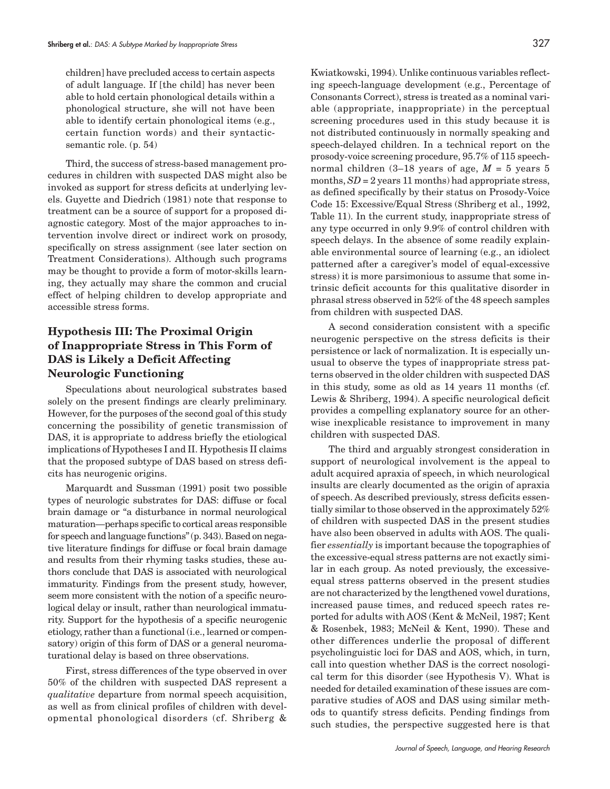children] have precluded access to certain aspects of adult language. If [the child] has never been able to hold certain phonological details within a phonological structure, she will not have been able to identify certain phonological items (e.g., certain function words) and their syntacticsemantic role. (p. 54)

Third, the success of stress-based management procedures in children with suspected DAS might also be invoked as support for stress deficits at underlying levels. Guyette and Diedrich (1981) note that response to treatment can be a source of support for a proposed diagnostic category. Most of the major approaches to intervention involve direct or indirect work on prosody, specifically on stress assignment (see later section on Treatment Considerations). Although such programs may be thought to provide a form of motor-skills learning, they actually may share the common and crucial effect of helping children to develop appropriate and accessible stress forms.

## **Hypothesis III: The Proximal Origin of Inappropriate Stress in This Form of DAS is Likely a Deficit Affecting Neurologic Functioning**

Speculations about neurological substrates based solely on the present findings are clearly preliminary. However, for the purposes of the second goal of this study concerning the possibility of genetic transmission of DAS, it is appropriate to address briefly the etiological implications of Hypotheses I and II. Hypothesis II claims that the proposed subtype of DAS based on stress deficits has neurogenic origins.

Marquardt and Sussman (1991) posit two possible types of neurologic substrates for DAS: diffuse or focal brain damage or "a disturbance in normal neurological maturation—perhaps specific to cortical areas responsible for speech and language functions" (p. 343). Based on negative literature findings for diffuse or focal brain damage and results from their rhyming tasks studies, these authors conclude that DAS is associated with neurological immaturity. Findings from the present study, however, seem more consistent with the notion of a specific neurological delay or insult, rather than neurological immaturity. Support for the hypothesis of a specific neurogenic etiology, rather than a functional (i.e., learned or compensatory) origin of this form of DAS or a general neuromaturational delay is based on three observations.

First, stress differences of the type observed in over 50% of the children with suspected DAS represent a *qualitative* departure from normal speech acquisition, as well as from clinical profiles of children with developmental phonological disorders (cf. Shriberg &

Kwiatkowski, 1994). Unlike continuous variables reflecting speech-language development (e.g., Percentage of Consonants Correct), stress is treated as a nominal variable (appropriate, inappropriate) in the perceptual screening procedures used in this study because it is not distributed continuously in normally speaking and speech-delayed children. In a technical report on the prosody-voice screening procedure, 95.7% of 115 speechnormal children  $(3-18$  years of age,  $M = 5$  years 5

months,  $SD = 2$  years 11 months) had appropriate stress, as defined specifically by their status on Prosody-Voice Code 15: Excessive/Equal Stress (Shriberg et al., 1992, Table 11). In the current study, inappropriate stress of any type occurred in only 9.9% of control children with speech delays. In the absence of some readily explainable environmental source of learning (e.g., an idiolect patterned after a caregiver's model of equal-excessive stress) it is more parsimonious to assume that some intrinsic deficit accounts for this qualitative disorder in phrasal stress observed in 52% of the 48 speech samples from children with suspected DAS.

A second consideration consistent with a specific neurogenic perspective on the stress deficits is their persistence or lack of normalization. It is especially unusual to observe the types of inappropriate stress patterns observed in the older children with suspected DAS in this study, some as old as 14 years 11 months (cf. Lewis & Shriberg, 1994). A specific neurological deficit provides a compelling explanatory source for an otherwise inexplicable resistance to improvement in many children with suspected DAS.

The third and arguably strongest consideration in support of neurological involvement is the appeal to adult acquired apraxia of speech, in which neurological insults are clearly documented as the origin of apraxia of speech. As described previously, stress deficits essentially similar to those observed in the approximately 52% of children with suspected DAS in the present studies have also been observed in adults with AOS. The qualifier *essentially* is important because the topographies of the excessive-equal stress patterns are not exactly similar in each group. As noted previously, the excessiveequal stress patterns observed in the present studies are not characterized by the lengthened vowel durations, increased pause times, and reduced speech rates reported for adults with AOS (Kent & McNeil, 1987; Kent & Rosenbek, 1983; McNeil & Kent, 1990). These and other differences underlie the proposal of different psycholinguistic loci for DAS and AOS, which, in turn, call into question whether DAS is the correct nosological term for this disorder (see Hypothesis V). What is needed for detailed examination of these issues are comparative studies of AOS and DAS using similar methods to quantify stress deficits. Pending findings from such studies, the perspective suggested here is that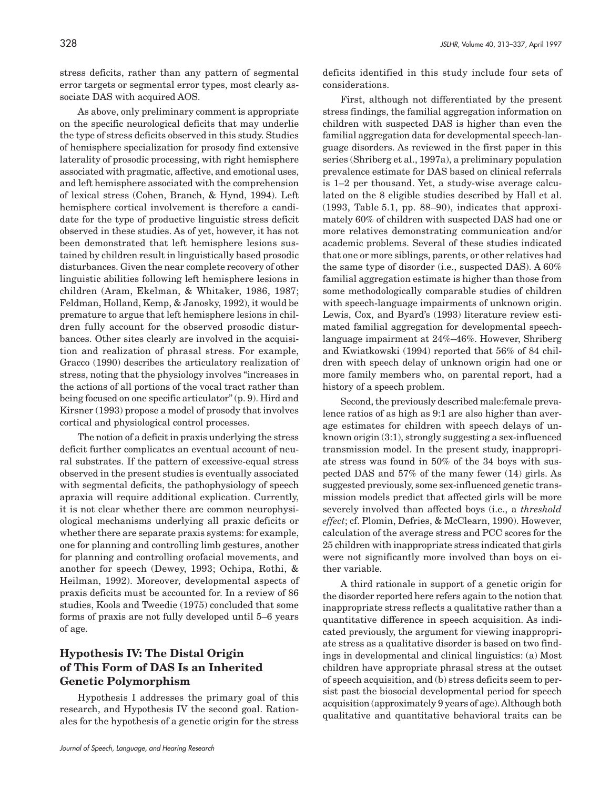stress deficits, rather than any pattern of segmental error targets or segmental error types, most clearly associate DAS with acquired AOS.

As above, only preliminary comment is appropriate on the specific neurological deficits that may underlie the type of stress deficits observed in this study. Studies of hemisphere specialization for prosody find extensive laterality of prosodic processing, with right hemisphere associated with pragmatic, affective, and emotional uses, and left hemisphere associated with the comprehension of lexical stress (Cohen, Branch, & Hynd, 1994). Left hemisphere cortical involvement is therefore a candidate for the type of productive linguistic stress deficit observed in these studies. As of yet, however, it has not been demonstrated that left hemisphere lesions sustained by children result in linguistically based prosodic disturbances. Given the near complete recovery of other linguistic abilities following left hemisphere lesions in children (Aram, Ekelman, & Whitaker, 1986, 1987; Feldman, Holland, Kemp, & Janosky, 1992), it would be premature to argue that left hemisphere lesions in children fully account for the observed prosodic disturbances. Other sites clearly are involved in the acquisition and realization of phrasal stress. For example, Gracco (1990) describes the articulatory realization of stress, noting that the physiology involves "increases in the actions of all portions of the vocal tract rather than being focused on one specific articulator" (p. 9). Hird and Kirsner (1993) propose a model of prosody that involves cortical and physiological control processes.

The notion of a deficit in praxis underlying the stress deficit further complicates an eventual account of neural substrates. If the pattern of excessive-equal stress observed in the present studies is eventually associated with segmental deficits, the pathophysiology of speech apraxia will require additional explication. Currently, it is not clear whether there are common neurophysiological mechanisms underlying all praxic deficits or whether there are separate praxis systems: for example, one for planning and controlling limb gestures, another for planning and controlling orofacial movements, and another for speech (Dewey, 1993; Ochipa, Rothi, & Heilman, 1992). Moreover, developmental aspects of praxis deficits must be accounted for. In a review of 86 studies, Kools and Tweedie (1975) concluded that some forms of praxis are not fully developed until 5–6 years of age.

## **Hypothesis IV: The Distal Origin of This Form of DAS Is an Inherited Genetic Polymorphism**

Hypothesis I addresses the primary goal of this research, and Hypothesis IV the second goal. Rationales for the hypothesis of a genetic origin for the stress deficits identified in this study include four sets of considerations.

First, although not differentiated by the present stress findings, the familial aggregation information on children with suspected DAS is higher than even the familial aggregation data for developmental speech-language disorders. As reviewed in the first paper in this series (Shriberg et al., 1997a), a preliminary population prevalence estimate for DAS based on clinical referrals is 1–2 per thousand. Yet, a study-wise average calculated on the 8 eligible studies described by Hall et al. (1993, Table 5.1, pp. 88–90), indicates that approximately 60% of children with suspected DAS had one or more relatives demonstrating communication and/or academic problems. Several of these studies indicated that one or more siblings, parents, or other relatives had the same type of disorder (i.e., suspected DAS). A 60% familial aggregation estimate is higher than those from some methodologically comparable studies of children with speech-language impairments of unknown origin. Lewis, Cox, and Byard's (1993) literature review estimated familial aggregation for developmental speechlanguage impairment at 24%–46%. However, Shriberg and Kwiatkowski (1994) reported that 56% of 84 children with speech delay of unknown origin had one or more family members who, on parental report, had a history of a speech problem.

Second, the previously described male:female prevalence ratios of as high as 9:1 are also higher than average estimates for children with speech delays of unknown origin (3:1), strongly suggesting a sex-influenced transmission model. In the present study, inappropriate stress was found in 50% of the 34 boys with suspected DAS and 57% of the many fewer (14) girls. As suggested previously, some sex-influenced genetic transmission models predict that affected girls will be more severely involved than affected boys (i.e., a *threshold effect*; cf. Plomin, Defries, & McClearn, 1990). However, calculation of the average stress and PCC scores for the 25 children with inappropriate stress indicated that girls were not significantly more involved than boys on either variable.

A third rationale in support of a genetic origin for the disorder reported here refers again to the notion that inappropriate stress reflects a qualitative rather than a quantitative difference in speech acquisition. As indicated previously, the argument for viewing inappropriate stress as a qualitative disorder is based on two findings in developmental and clinical linguistics: (a) Most children have appropriate phrasal stress at the outset of speech acquisition, and (b) stress deficits seem to persist past the biosocial developmental period for speech acquisition (approximately 9 years of age). Although both qualitative and quantitative behavioral traits can be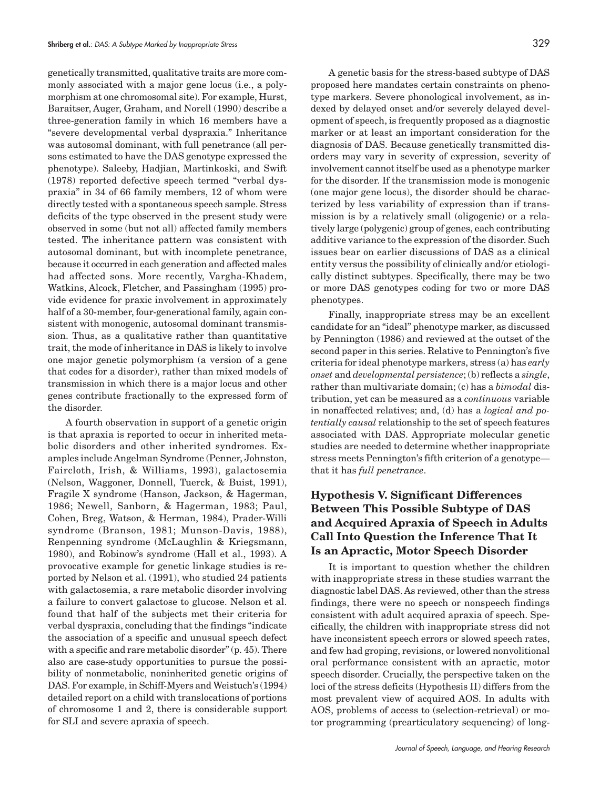genetically transmitted, qualitative traits are more commonly associated with a major gene locus (i.e., a polymorphism at one chromosomal site). For example, Hurst, Baraitser, Auger, Graham, and Norell (1990) describe a three-generation family in which 16 members have a "severe developmental verbal dyspraxia." Inheritance was autosomal dominant, with full penetrance (all persons estimated to have the DAS genotype expressed the phenotype). Saleeby, Hadjian, Martinkoski, and Swift (1978) reported defective speech termed "verbal dyspraxia" in 34 of 66 family members, 12 of whom were directly tested with a spontaneous speech sample. Stress deficits of the type observed in the present study were observed in some (but not all) affected family members tested. The inheritance pattern was consistent with autosomal dominant, but with incomplete penetrance, because it occurred in each generation and affected males had affected sons. More recently, Vargha-Khadem, Watkins, Alcock, Fletcher, and Passingham (1995) provide evidence for praxic involvement in approximately half of a 30-member, four-generational family, again consistent with monogenic, autosomal dominant transmission. Thus, as a qualitative rather than quantitative trait, the mode of inheritance in DAS is likely to involve one major genetic polymorphism (a version of a gene that codes for a disorder), rather than mixed models of transmission in which there is a major locus and other genes contribute fractionally to the expressed form of the disorder.

A fourth observation in support of a genetic origin is that apraxia is reported to occur in inherited metabolic disorders and other inherited syndromes. Examples include Angelman Syndrome (Penner, Johnston, Faircloth, Irish, & Williams, 1993), galactosemia (Nelson, Waggoner, Donnell, Tuerck, & Buist, 1991), Fragile X syndrome (Hanson, Jackson, & Hagerman, 1986; Newell, Sanborn, & Hagerman, 1983; Paul, Cohen, Breg, Watson, & Herman, 1984), Prader-Willi syndrome (Branson, 1981; Munson-Davis, 1988), Renpenning syndrome (McLaughlin & Kriegsmann, 1980), and Robinow's syndrome (Hall et al., 1993). A provocative example for genetic linkage studies is reported by Nelson et al. (1991), who studied 24 patients with galactosemia, a rare metabolic disorder involving a failure to convert galactose to glucose. Nelson et al. found that half of the subjects met their criteria for verbal dyspraxia, concluding that the findings "indicate the association of a specific and unusual speech defect with a specific and rare metabolic disorder" (p. 45). There also are case-study opportunities to pursue the possibility of nonmetabolic, noninherited genetic origins of DAS. For example, in Schiff-Myers and Weistuch's (1994) detailed report on a child with translocations of portions of chromosome 1 and 2, there is considerable support for SLI and severe apraxia of speech.

A genetic basis for the stress-based subtype of DAS proposed here mandates certain constraints on phenotype markers. Severe phonological involvement, as indexed by delayed onset and/or severely delayed development of speech, is frequently proposed as a diagnostic marker or at least an important consideration for the diagnosis of DAS. Because genetically transmitted disorders may vary in severity of expression, severity of involvement cannot itself be used as a phenotype marker for the disorder. If the transmission mode is monogenic (one major gene locus), the disorder should be characterized by less variability of expression than if transmission is by a relatively small (oligogenic) or a relatively large (polygenic) group of genes, each contributing additive variance to the expression of the disorder. Such issues bear on earlier discussions of DAS as a clinical entity versus the possibility of clinically and/or etiologically distinct subtypes. Specifically, there may be two or more DAS genotypes coding for two or more DAS phenotypes.

Finally, inappropriate stress may be an excellent candidate for an "ideal" phenotype marker, as discussed by Pennington (1986) and reviewed at the outset of the second paper in this series. Relative to Pennington's five criteria for ideal phenotype markers, stress (a) has *early onset* and *developmental persistence*; (b) reflects a *single*, rather than multivariate domain; (c) has a *bimodal* distribution, yet can be measured as a *continuous* variable in nonaffected relatives; and, (d) has a *logical and potentially causal* relationship to the set of speech features associated with DAS. Appropriate molecular genetic studies are needed to determine whether inappropriate stress meets Pennington's fifth criterion of a genotype that it has *full penetrance*.

## **Hypothesis V. Significant Differences Between This Possible Subtype of DAS and Acquired Apraxia of Speech in Adults Call Into Question the Inference That It Is an Apractic, Motor Speech Disorder**

It is important to question whether the children with inappropriate stress in these studies warrant the diagnostic label DAS. As reviewed, other than the stress findings, there were no speech or nonspeech findings consistent with adult acquired apraxia of speech. Specifically, the children with inappropriate stress did not have inconsistent speech errors or slowed speech rates, and few had groping, revisions, or lowered nonvolitional oral performance consistent with an apractic, motor speech disorder. Crucially, the perspective taken on the loci of the stress deficits (Hypothesis II) differs from the most prevalent view of acquired AOS. In adults with AOS, problems of access to (selection-retrieval) or motor programming (prearticulatory sequencing) of long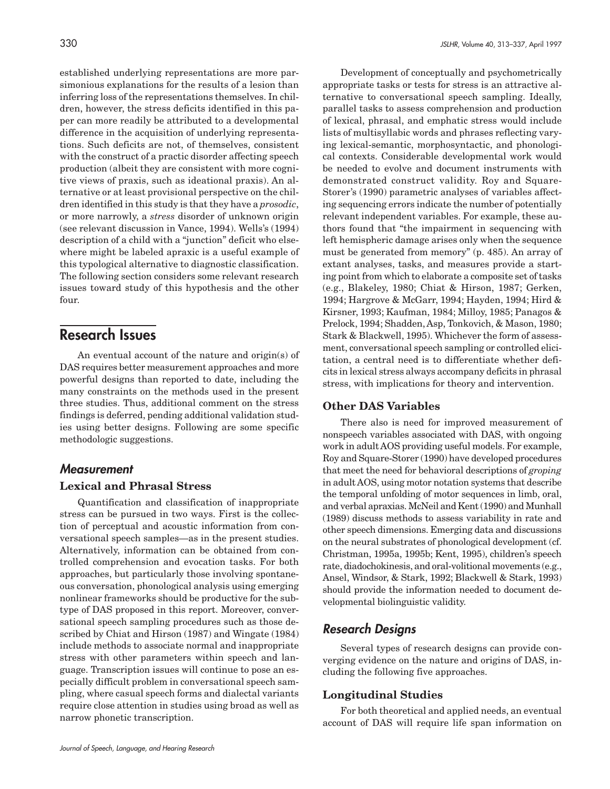established underlying representations are more parsimonious explanations for the results of a lesion than inferring loss of the representations themselves. In children, however, the stress deficits identified in this paper can more readily be attributed to a developmental difference in the acquisition of underlying representations. Such deficits are not, of themselves, consistent with the construct of a practic disorder affecting speech production (albeit they are consistent with more cognitive views of praxis, such as ideational praxis). An alternative or at least provisional perspective on the children identified in this study is that they have a *prosodic*, or more narrowly, a *stress* disorder of unknown origin (see relevant discussion in Vance, 1994). Wells's (1994) description of a child with a "junction" deficit who elsewhere might be labeled apraxic is a useful example of this typological alternative to diagnostic classification. The following section considers some relevant research issues toward study of this hypothesis and the other four.

## **Research Issues**

An eventual account of the nature and origin(s) of DAS requires better measurement approaches and more powerful designs than reported to date, including the many constraints on the methods used in the present three studies. Thus, additional comment on the stress findings is deferred, pending additional validation studies using better designs. Following are some specific methodologic suggestions.

## **Measurement**

#### **Lexical and Phrasal Stress**

Quantification and classification of inappropriate stress can be pursued in two ways. First is the collection of perceptual and acoustic information from conversational speech samples—as in the present studies. Alternatively, information can be obtained from controlled comprehension and evocation tasks. For both approaches, but particularly those involving spontaneous conversation, phonological analysis using emerging nonlinear frameworks should be productive for the subtype of DAS proposed in this report. Moreover, conversational speech sampling procedures such as those described by Chiat and Hirson (1987) and Wingate (1984) include methods to associate normal and inappropriate stress with other parameters within speech and language. Transcription issues will continue to pose an especially difficult problem in conversational speech sampling, where casual speech forms and dialectal variants require close attention in studies using broad as well as narrow phonetic transcription.

Development of conceptually and psychometrically appropriate tasks or tests for stress is an attractive alternative to conversational speech sampling. Ideally, parallel tasks to assess comprehension and production of lexical, phrasal, and emphatic stress would include lists of multisyllabic words and phrases reflecting varying lexical-semantic, morphosyntactic, and phonological contexts. Considerable developmental work would be needed to evolve and document instruments with demonstrated construct validity. Roy and Square-Storer's (1990) parametric analyses of variables affecting sequencing errors indicate the number of potentially relevant independent variables. For example, these authors found that "the impairment in sequencing with left hemispheric damage arises only when the sequence must be generated from memory" (p. 485). An array of extant analyses, tasks, and measures provide a starting point from which to elaborate a composite set of tasks (e.g., Blakeley, 1980; Chiat & Hirson, 1987; Gerken, 1994; Hargrove & McGarr, 1994; Hayden, 1994; Hird & Kirsner, 1993; Kaufman, 1984; Milloy, 1985; Panagos & Prelock, 1994; Shadden, Asp, Tonkovich, & Mason, 1980; Stark & Blackwell, 1995). Whichever the form of assessment, conversational speech sampling or controlled elicitation, a central need is to differentiate whether deficits in lexical stress always accompany deficits in phrasal stress, with implications for theory and intervention.

#### **Other DAS Variables**

There also is need for improved measurement of nonspeech variables associated with DAS, with ongoing work in adult AOS providing useful models. For example, Roy and Square-Storer (1990) have developed procedures that meet the need for behavioral descriptions of *groping* in adult AOS, using motor notation systems that describe the temporal unfolding of motor sequences in limb, oral, and verbal apraxias. McNeil and Kent (1990) and Munhall (1989) discuss methods to assess variability in rate and other speech dimensions. Emerging data and discussions on the neural substrates of phonological development (cf. Christman, 1995a, 1995b; Kent, 1995), children's speech rate, diadochokinesis, and oral-volitional movements (e.g., Ansel, Windsor, & Stark, 1992; Blackwell & Stark, 1993) should provide the information needed to document developmental biolinguistic validity.

## **Research Designs**

Several types of research designs can provide converging evidence on the nature and origins of DAS, including the following five approaches.

#### **Longitudinal Studies**

For both theoretical and applied needs, an eventual account of DAS will require life span information on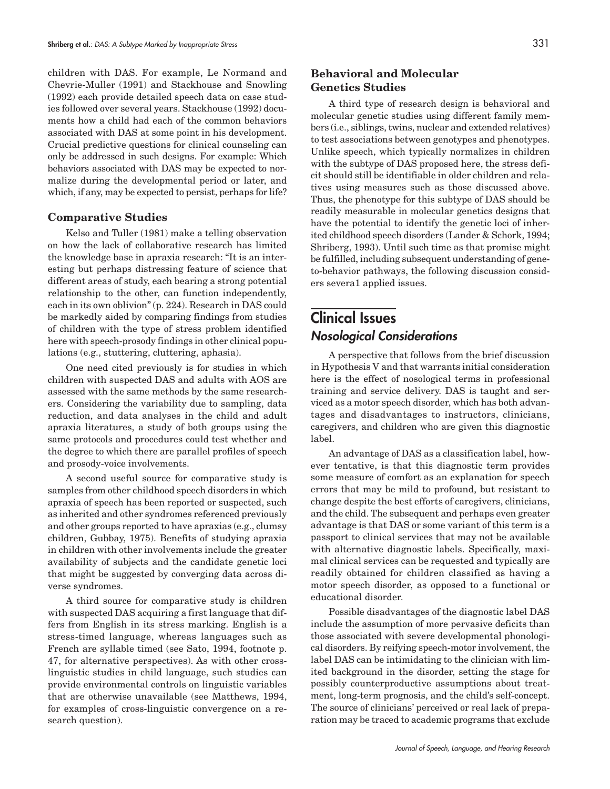children with DAS. For example, Le Normand and Chevrie-Muller (1991) and Stackhouse and Snowling (1992) each provide detailed speech data on case studies followed over several years. Stackhouse (1992) documents how a child had each of the common behaviors associated with DAS at some point in his development. Crucial predictive questions for clinical counseling can only be addressed in such designs. For example: Which behaviors associated with DAS may be expected to normalize during the developmental period or later, and which, if any, may be expected to persist, perhaps for life?

#### **Comparative Studies**

Kelso and Tuller (1981) make a telling observation on how the lack of collaborative research has limited the knowledge base in apraxia research: "It is an interesting but perhaps distressing feature of science that different areas of study, each bearing a strong potential relationship to the other, can function independently, each in its own oblivion" (p. 224). Research in DAS could be markedly aided by comparing findings from studies of children with the type of stress problem identified here with speech-prosody findings in other clinical populations (e.g., stuttering, cluttering, aphasia).

One need cited previously is for studies in which children with suspected DAS and adults with AOS are assessed with the same methods by the same researchers. Considering the variability due to sampling, data reduction, and data analyses in the child and adult apraxia literatures, a study of both groups using the same protocols and procedures could test whether and the degree to which there are parallel profiles of speech and prosody-voice involvements.

A second useful source for comparative study is samples from other childhood speech disorders in which apraxia of speech has been reported or suspected, such as inherited and other syndromes referenced previously and other groups reported to have apraxias (e.g., clumsy children, Gubbay, 1975). Benefits of studying apraxia in children with other involvements include the greater availability of subjects and the candidate genetic loci that might be suggested by converging data across diverse syndromes.

A third source for comparative study is children with suspected DAS acquiring a first language that differs from English in its stress marking. English is a stress-timed language, whereas languages such as French are syllable timed (see Sato, 1994, footnote p. 47, for alternative perspectives). As with other crosslinguistic studies in child language, such studies can provide environmental controls on linguistic variables that are otherwise unavailable (see Matthews, 1994, for examples of cross-linguistic convergence on a research question).

#### **Behavioral and Molecular Genetics Studies**

A third type of research design is behavioral and molecular genetic studies using different family members (i.e., siblings, twins, nuclear and extended relatives) to test associations between genotypes and phenotypes. Unlike speech, which typically normalizes in children with the subtype of DAS proposed here, the stress deficit should still be identifiable in older children and relatives using measures such as those discussed above. Thus, the phenotype for this subtype of DAS should be readily measurable in molecular genetics designs that have the potential to identify the genetic loci of inherited childhood speech disorders (Lander & Schork, 1994; Shriberg, 1993). Until such time as that promise might be fulfilled, including subsequent understanding of geneto-behavior pathways, the following discussion considers severa1 applied issues.

# **Clinical Issues Nosological Considerations**

A perspective that follows from the brief discussion in Hypothesis V and that warrants initial consideration here is the effect of nosological terms in professional training and service delivery. DAS is taught and serviced as a motor speech disorder, which has both advantages and disadvantages to instructors, clinicians, caregivers, and children who are given this diagnostic label.

An advantage of DAS as a classification label, however tentative, is that this diagnostic term provides some measure of comfort as an explanation for speech errors that may be mild to profound, but resistant to change despite the best efforts of caregivers, clinicians, and the child. The subsequent and perhaps even greater advantage is that DAS or some variant of this term is a passport to clinical services that may not be available with alternative diagnostic labels. Specifically, maximal clinical services can be requested and typically are readily obtained for children classified as having a motor speech disorder, as opposed to a functional or educational disorder.

Possible disadvantages of the diagnostic label DAS include the assumption of more pervasive deficits than those associated with severe developmental phonological disorders. By reifying speech-motor involvement, the label DAS can be intimidating to the clinician with limited background in the disorder, setting the stage for possibly counterproductive assumptions about treatment, long-term prognosis, and the child's self-concept. The source of clinicians' perceived or real lack of preparation may be traced to academic programs that exclude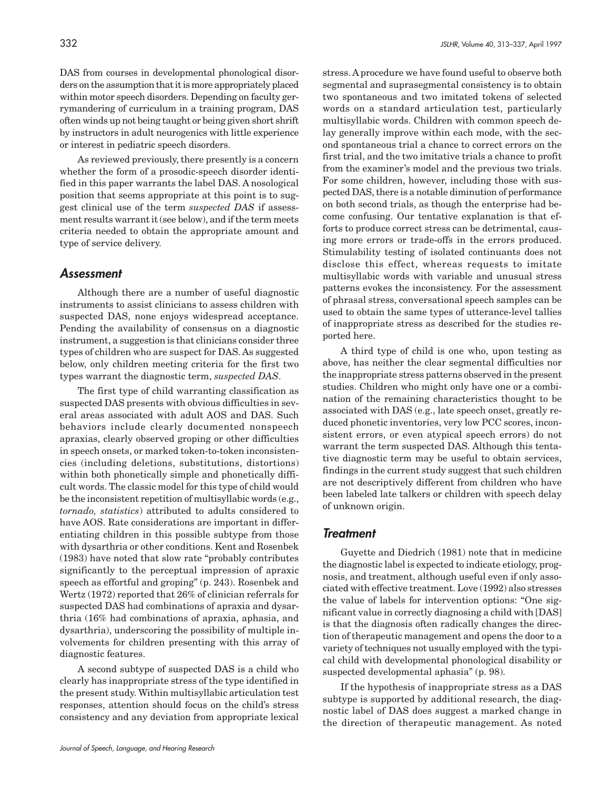DAS from courses in developmental phonological disorders on the assumption that it is more appropriately placed within motor speech disorders. Depending on faculty gerrymandering of curriculum in a training program, DAS often winds up not being taught or being given short shrift by instructors in adult neurogenics with little experience or interest in pediatric speech disorders.

As reviewed previously, there presently is a concern whether the form of a prosodic-speech disorder identified in this paper warrants the label DAS. A nosological position that seems appropriate at this point is to suggest clinical use of the term *suspected DAS* if assessment results warrant it (see below), and if the term meets criteria needed to obtain the appropriate amount and type of service delivery.

#### **Assessment**

Although there are a number of useful diagnostic instruments to assist clinicians to assess children with suspected DAS, none enjoys widespread acceptance. Pending the availability of consensus on a diagnostic instrument, a suggestion is that clinicians consider three types of children who are suspect for DAS. As suggested below, only children meeting criteria for the first two types warrant the diagnostic term, *suspected DAS*.

The first type of child warranting classification as suspected DAS presents with obvious difficulties in several areas associated with adult AOS and DAS. Such behaviors include clearly documented nonspeech apraxias, clearly observed groping or other difficulties in speech onsets, or marked token-to-token inconsistencies (including deletions, substitutions, distortions) within both phonetically simple and phonetically difficult words. The classic model for this type of child would be the inconsistent repetition of multisyllabic words (e.g., *tornado, statistics*) attributed to adults considered to have AOS. Rate considerations are important in differentiating children in this possible subtype from those with dysarthria or other conditions. Kent and Rosenbek (1983) have noted that slow rate "probably contributes significantly to the perceptual impression of apraxic speech as effortful and groping" (p. 243). Rosenbek and Wertz (1972) reported that 26% of clinician referrals for suspected DAS had combinations of apraxia and dysarthria (16% had combinations of apraxia, aphasia, and dysarthria), underscoring the possibility of multiple involvements for children presenting with this array of diagnostic features.

A second subtype of suspected DAS is a child who clearly has inappropriate stress of the type identified in the present study. Within multisyllabic articulation test responses, attention should focus on the child's stress consistency and any deviation from appropriate lexical

stress. A procedure we have found useful to observe both segmental and suprasegmental consistency is to obtain two spontaneous and two imitated tokens of selected words on a standard articulation test, particularly multisyllabic words. Children with common speech delay generally improve within each mode, with the second spontaneous trial a chance to correct errors on the first trial, and the two imitative trials a chance to profit from the examiner's model and the previous two trials. For some children, however, including those with suspected DAS, there is a notable diminution of performance on both second trials, as though the enterprise had become confusing. Our tentative explanation is that efforts to produce correct stress can be detrimental, causing more errors or trade-offs in the errors produced. Stimulability testing of isolated continuants does not disclose this effect, whereas requests to imitate multisyllabic words with variable and unusual stress patterns evokes the inconsistency. For the assessment of phrasal stress, conversational speech samples can be used to obtain the same types of utterance-level tallies of inappropriate stress as described for the studies reported here.

A third type of child is one who, upon testing as above, has neither the clear segmental difficulties nor the inappropriate stress patterns observed in the present studies. Children who might only have one or a combination of the remaining characteristics thought to be associated with DAS (e.g., late speech onset, greatly reduced phonetic inventories, very low PCC scores, inconsistent errors, or even atypical speech errors) do not warrant the term suspected DAS. Although this tentative diagnostic term may be useful to obtain services, findings in the current study suggest that such children are not descriptively different from children who have been labeled late talkers or children with speech delay of unknown origin.

#### **Treatment**

Guyette and Diedrich (1981) note that in medicine the diagnostic label is expected to indicate etiology, prognosis, and treatment, although useful even if only associated with effective treatment. Love (1992) also stresses the value of labels for intervention options: "One significant value in correctly diagnosing a child with [DAS] is that the diagnosis often radically changes the direction of therapeutic management and opens the door to a variety of techniques not usually employed with the typical child with developmental phonological disability or suspected developmental aphasia" (p. 98).

If the hypothesis of inappropriate stress as a DAS subtype is supported by additional research, the diagnostic label of DAS does suggest a marked change in the direction of therapeutic management. As noted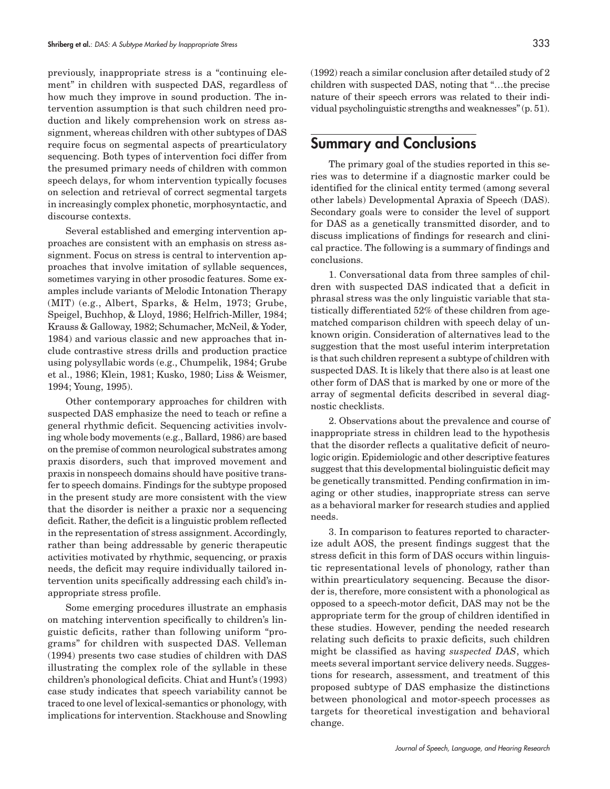previously, inappropriate stress is a "continuing element" in children with suspected DAS, regardless of how much they improve in sound production. The intervention assumption is that such children need production and likely comprehension work on stress assignment, whereas children with other subtypes of DAS require focus on segmental aspects of prearticulatory sequencing. Both types of intervention foci differ from the presumed primary needs of children with common speech delays, for whom intervention typically focuses on selection and retrieval of correct segmental targets in increasingly complex phonetic, morphosyntactic, and discourse contexts.

Several established and emerging intervention approaches are consistent with an emphasis on stress assignment. Focus on stress is central to intervention approaches that involve imitation of syllable sequences, sometimes varying in other prosodic features. Some examples include variants of Melodic Intonation Therapy (MIT) (e.g., Albert, Sparks, & Helm, 1973; Grube, Speigel, Buchhop, & Lloyd, 1986; Helfrich-Miller, 1984; Krauss & Galloway, 1982; Schumacher, McNeil, & Yoder, 1984) and various classic and new approaches that include contrastive stress drills and production practice using polysyllabic words (e.g., Chumpelik, 1984; Grube et al., 1986; Klein, 1981; Kusko, 1980; Liss & Weismer, 1994; Young, 1995).

Other contemporary approaches for children with suspected DAS emphasize the need to teach or refine a general rhythmic deficit. Sequencing activities involving whole body movements (e.g., Ballard, 1986) are based on the premise of common neurological substrates among praxis disorders, such that improved movement and praxis in nonspeech domains should have positive transfer to speech domains. Findings for the subtype proposed in the present study are more consistent with the view that the disorder is neither a praxic nor a sequencing deficit. Rather, the deficit is a linguistic problem reflected in the representation of stress assignment. Accordingly, rather than being addressable by generic therapeutic activities motivated by rhythmic, sequencing, or praxis needs, the deficit may require individually tailored intervention units specifically addressing each child's inappropriate stress profile.

Some emerging procedures illustrate an emphasis on matching intervention specifically to children's linguistic deficits, rather than following uniform "programs" for children with suspected DAS. Velleman (1994) presents two case studies of children with DAS illustrating the complex role of the syllable in these children's phonological deficits. Chiat and Hunt's (1993) case study indicates that speech variability cannot be traced to one level of lexical-semantics or phonology, with implications for intervention. Stackhouse and Snowling (1992) reach a similar conclusion after detailed study of 2 children with suspected DAS, noting that "…the precise nature of their speech errors was related to their individual psycholinguistic strengths and weaknesses" (p. 51).

# **Summary and Conclusions**

The primary goal of the studies reported in this series was to determine if a diagnostic marker could be identified for the clinical entity termed (among several other labels) Developmental Apraxia of Speech (DAS). Secondary goals were to consider the level of support for DAS as a genetically transmitted disorder, and to discuss implications of findings for research and clinical practice. The following is a summary of findings and conclusions.

1. Conversational data from three samples of children with suspected DAS indicated that a deficit in phrasal stress was the only linguistic variable that statistically differentiated 52% of these children from agematched comparison children with speech delay of unknown origin. Consideration of alternatives lead to the suggestion that the most useful interim interpretation is that such children represent a subtype of children with suspected DAS. It is likely that there also is at least one other form of DAS that is marked by one or more of the array of segmental deficits described in several diagnostic checklists.

2. Observations about the prevalence and course of inappropriate stress in children lead to the hypothesis that the disorder reflects a qualitative deficit of neurologic origin. Epidemiologic and other descriptive features suggest that this developmental biolinguistic deficit may be genetically transmitted. Pending confirmation in imaging or other studies, inappropriate stress can serve as a behavioral marker for research studies and applied needs.

3. In comparison to features reported to characterize adult AOS, the present findings suggest that the stress deficit in this form of DAS occurs within linguistic representational levels of phonology, rather than within prearticulatory sequencing. Because the disorder is, therefore, more consistent with a phonological as opposed to a speech-motor deficit, DAS may not be the appropriate term for the group of children identified in these studies. However, pending the needed research relating such deficits to praxic deficits, such children might be classified as having *suspected DAS*, which meets several important service delivery needs. Suggestions for research, assessment, and treatment of this proposed subtype of DAS emphasize the distinctions between phonological and motor-speech processes as targets for theoretical investigation and behavioral change.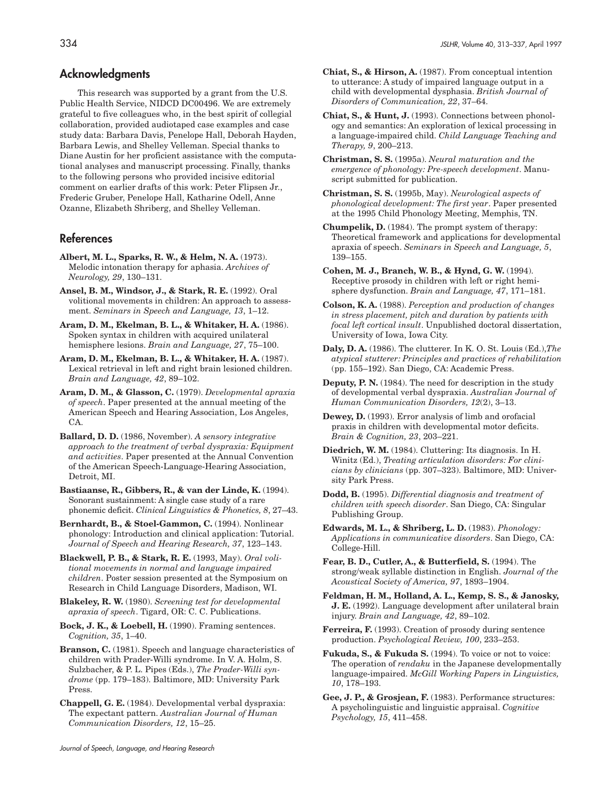#### **Acknowledgments**

This research was supported by a grant from the U.S. Public Health Service, NIDCD DC00496. We are extremely grateful to five colleagues who, in the best spirit of collegial collaboration, provided audiotaped case examples and case study data: Barbara Davis, Penelope Hall, Deborah Hayden, Barbara Lewis, and Shelley Velleman. Special thanks to Diane Austin for her proficient assistance with the computational analyses and manuscript processing. Finally, thanks to the following persons who provided incisive editorial comment on earlier drafts of this work: Peter Flipsen Jr., Frederic Gruber, Penelope Hall, Katharine Odell, Anne Ozanne, Elizabeth Shriberg, and Shelley Velleman.

#### **References**

**Albert, M. L., Sparks, R. W., & Helm, N. A.** (1973). Melodic intonation therapy for aphasia. *Archives of Neurology, 29*, 130–131.

**Ansel, B. M., Windsor, J., & Stark, R. E.** (1992). Oral volitional movements in children: An approach to assessment. *Seminars in Speech and Language, 13*, 1–12.

**Aram, D. M., Ekelman, B. L., & Whitaker, H. A.** (1986). Spoken syntax in children with acquired unilateral hemisphere lesions. *Brain and Language, 27*, 75–100.

**Aram, D. M., Ekelman, B. L., & Whitaker, H. A.** (1987). Lexical retrieval in left and right brain lesioned children. *Brain and Language, 42*, 89–102.

**Aram, D. M., & Glasson, C.** (1979). *Developmental apraxia of speech*. Paper presented at the annual meeting of the American Speech and Hearing Association, Los Angeles, CA.

**Ballard, D. D.** (1986, November). *A sensory integrative approach to the treatment of verbal dyspraxia: Equipment and activities*. Paper presented at the Annual Convention of the American Speech-Language-Hearing Association, Detroit, MI.

**Bastiaanse, R., Gibbers, R., & van der Linde, K.** (1994). Sonorant sustainment: A single case study of a rare phonemic deficit. *Clinical Linguistics & Phonetics, 8*, 27–43.

**Bernhardt, B., & Stoel-Gammon, C.** (1994). Nonlinear phonology: Introduction and clinical application: Tutorial. *Journal of Speech and Hearing Research, 37*, 123–143.

**Blackwell, P. B., & Stark, R. E.** (1993, May). *Oral volitional movements in normal and language impaired children*. Poster session presented at the Symposium on Research in Child Language Disorders, Madison, WI.

**Blakeley, R. W.** (1980). *Screening test for developmental apraxia of speech*. Tigard, OR: C. C. Publications.

**Bock, J. K., & Loebell, H.** (1990). Framing sentences. *Cognition, 35*, 1–40.

**Branson, C.** (1981). Speech and language characteristics of children with Prader-Willi syndrome. In V. A. Holm, S. Sulzbacher, & P. L. Pipes (Eds.), *The Prader-Willi syndrome* (pp. 179–183). Baltimore, MD: University Park Press.

**Chappell, G. E.** (1984). Developmental verbal dyspraxia: The expectant pattern. *Australian Journal of Human Communication Disorders, 12*, 15–25.

- **Chiat, S., & Hirson, A.** (1987). From conceptual intention to utterance: A study of impaired language output in a child with developmental dysphasia. *British Journal of Disorders of Communication, 22*, 37–64.
- **Chiat, S., & Hunt, J.** (1993). Connections between phonology and semantics: An exploration of lexical processing in a language-impaired child. *Child Language Teaching and Therapy, 9*, 200–213.

**Christman, S. S.** (1995a). *Neural maturation and the emergence of phonology: Pre-speech development*. Manuscript submitted for publication.

**Christman, S. S.** (1995b, May). *Neurological aspects of phonological development: The first year*. Paper presented at the 1995 Child Phonology Meeting, Memphis, TN.

**Chumpelik, D.** (1984). The prompt system of therapy: Theoretical framework and applications for developmental apraxia of speech. *Seminars in Speech and Language, 5*, 139–155.

**Cohen, M. J., Branch, W. B., & Hynd, G. W.** (1994). Receptive prosody in children with left or right hemisphere dysfunction. *Brain and Language, 47*, 171–181.

**Colson, K. A.** (1988). *Perception and production of changes in stress placement, pitch and duration by patients with focal left cortical insult*. Unpublished doctoral dissertation, University of Iowa, Iowa City.

**Daly, D. A.** (1986). The clutterer. In K. O. St. Louis (Ed.),*The atypical stutterer: Principles and practices of rehabilitation* (pp. 155–192). San Diego, CA: Academic Press.

**Deputy, P. N.** (1984). The need for description in the study of developmental verbal dyspraxia. *Australian Journal of Human Communication Disorders, 12*(2), 3–13.

**Dewey, D.** (1993). Error analysis of limb and orofacial praxis in children with developmental motor deficits. *Brain & Cognition, 23*, 203–221.

**Diedrich, W. M.** (1984). Cluttering: Its diagnosis. In H. Winitz (Ed.), *Treating articulation disorders: For clinicians by clinicians* (pp. 307–323). Baltimore, MD: University Park Press.

**Dodd, B.** (1995). *Differential diagnosis and treatment of children with speech disorder*. San Diego, CA: Singular Publishing Group.

**Edwards, M. L., & Shriberg, L. D.** (1983). *Phonology: Applications in communicative disorders*. San Diego, CA: College-Hill.

**Fear, B. D., Cutler, A., & Butterfield, S.** (1994). The strong/weak syllable distinction in English. *Journal of the Acoustical Society of America, 97*, 1893–1904.

**Feldman, H. M., Holland, A. L., Kemp, S. S., & Janosky, J. E.** (1992). Language development after unilateral brain injury. *Brain and Language, 42*, 89–102.

**Ferreira, F.** (1993). Creation of prosody during sentence production. *Psychological Review, 100*, 233–253.

Fukuda, S., & Fukuda S. (1994). To voice or not to voice: The operation of *rendaku* in the Japanese developmentally language-impaired. *McGill Working Papers in Linguistics, 10*, 178–193.

**Gee, J. P., & Grosjean, F.** (1983). Performance structures: A psycholinguistic and linguistic appraisal. *Cognitive Psychology, 15*, 411–458.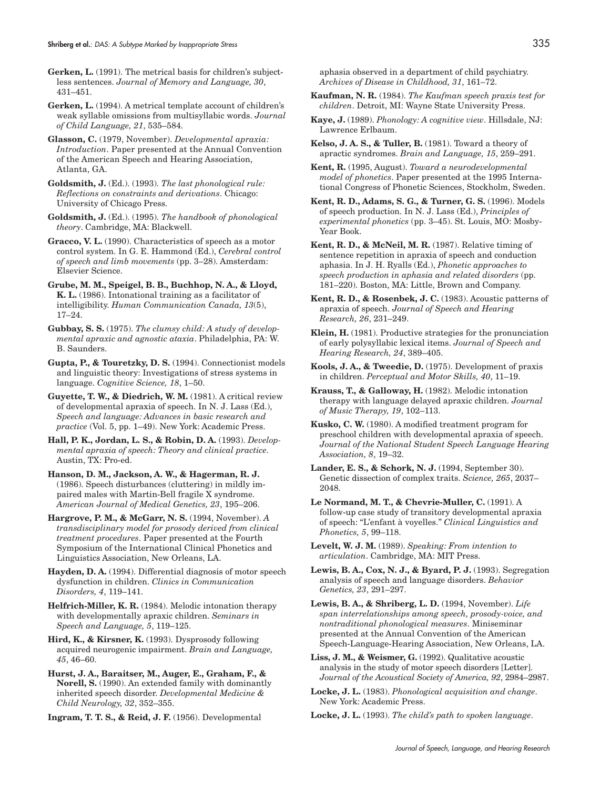**Gerken, L.** (1991). The metrical basis for children's subjectless sentences. *Journal of Memory and Language, 30*, 431–451.

**Gerken, L.** (1994). A metrical template account of children's weak syllable omissions from multisyllabic words. *Journal of Child Language, 21*, 535–584.

**Glasson, C.** (1979, November). *Developmental apraxia: Introduction*. Paper presented at the Annual Convention of the American Speech and Hearing Association, Atlanta, GA.

**Goldsmith, J.** (Ed.). (1993). *The last phonological rule: Reflections on constraints and derivations*. Chicago: University of Chicago Press.

**Goldsmith, J.** (Ed.). (1995). *The handbook of phonological theory*. Cambridge, MA: Blackwell.

**Gracco, V. L.** (1990). Characteristics of speech as a motor control system. In G. E. Hammond (Ed.), *Cerebral control of speech and limb movements* (pp. 3–28). Amsterdam: Elsevier Science.

**Grube, M. M., Speigel, B. B., Buchhop, N. A., & Lloyd, K. L.** (1986). Intonational training as a facilitator of intelligibility. *Human Communication Canada, 13*(5), 17–24.

**Gubbay, S. S.** (1975). *The clumsy child: A study of developmental apraxic and agnostic ataxia*. Philadelphia, PA: W. B. Saunders.

**Gupta, P., & Touretzky, D. S.** (1994). Connectionist models and linguistic theory: Investigations of stress systems in language. *Cognitive Science, 18*, 1–50.

**Guyette, T. W., & Diedrich, W. M.** (1981). A critical review of developmental apraxia of speech. In N. J. Lass (Ed.), *Speech and language: Advances in basic research and practice* (Vol. 5, pp. 1–49). New York: Academic Press.

**Hall, P. K., Jordan, L. S., & Robin, D. A.** (1993). *Developmental apraxia of speech: Theory and clinical practice*. Austin, TX: Pro-ed.

**Hanson, D. M., Jackson, A. W., & Hagerman, R. J.** (1986). Speech disturbances (cluttering) in mildly impaired males with Martin-Bell fragile X syndrome. *American Journal of Medical Genetics, 23*, 195–206.

**Hargrove, P. M., & McGarr, N. S.** (1994, November). *A transdisciplinary model for prosody derived from clinical treatment procedures*. Paper presented at the Fourth Symposium of the International Clinical Phonetics and Linguistics Association, New Orleans, LA.

**Hayden, D. A.** (1994). Differential diagnosis of motor speech dysfunction in children. *Clinics in Communication Disorders, 4*, 119–141.

**Helfrich-Miller, K. R.** (1984). Melodic intonation therapy with developmentally apraxic children. *Seminars in Speech and Language, 5*, 119–125.

**Hird, K., & Kirsner, K.** (1993). Dysprosody following acquired neurogenic impairment. *Brain and Language, 45*, 46–60.

**Hurst, J. A., Baraitser, M., Auger, E., Graham, F., & Norell, S.** (1990). An extended family with dominantly inherited speech disorder. *Developmental Medicine & Child Neurology, 32*, 352–355.

**Ingram, T. T. S., & Reid, J. F.** (1956). Developmental

aphasia observed in a department of child psychiatry. *Archives of Disease in Childhood, 31*, 161–72.

- **Kaufman, N. R.** (1984). *The Kaufman speech praxis test for children*. Detroit, MI: Wayne State University Press.
- **Kaye, J.** (1989). *Phonology: A cognitive view*. Hillsdale, NJ: Lawrence Erlbaum.
- **Kelso, J. A. S., & Tuller, B.** (1981). Toward a theory of apractic syndromes. *Brain and Language, 15*, 259–291.

**Kent, R.** (1995, August). *Toward a neurodevelopmental model of phonetics*. Paper presented at the 1995 International Congress of Phonetic Sciences, Stockholm, Sweden.

**Kent, R. D., Adams, S. G., & Turner, G. S.** (1996). Models of speech production. In N. J. Lass (Ed.), *Principles of experimental phonetics* (pp. 3–45). St. Louis, MO: Mosby-Year Book.

**Kent, R. D., & McNeil, M. R.** (1987). Relative timing of sentence repetition in apraxia of speech and conduction aphasia. In J. H. Ryalls (Ed.), *Phonetic approaches to speech production in aphasia and related disorders* (pp. 181–220). Boston, MA: Little, Brown and Company.

**Kent, R. D., & Rosenbek, J. C.** (1983). Acoustic patterns of apraxia of speech. *Journal of Speech and Hearing Research, 26*, 231–249.

**Klein, H.** (1981). Productive strategies for the pronunciation of early polysyllabic lexical items. *Journal of Speech and Hearing Research, 24*, 389–405.

**Kools, J. A., & Tweedie, D.** (1975). Development of praxis in children. *Perceptual and Motor Skills, 40*, 11–19.

**Krauss, T., & Galloway, H.** (1982). Melodic intonation therapy with language delayed apraxic children. *Journal of Music Therapy, 19*, 102–113.

**Kusko, C. W.** (1980). A modified treatment program for preschool children with developmental apraxia of speech. *Journal of the National Student Speech Language Hearing Association, 8*, 19–32.

**Lander, E. S., & Schork, N. J.** (1994, September 30). Genetic dissection of complex traits. *Science, 265*, 2037– 2048.

**Le Normand, M. T., & Chevrie-Muller, C.** (1991). A follow-up case study of transitory developmental apraxia of speech: "L'enfant à voyelles." *Clinical Linguistics and Phonetics, 5*, 99–118.

**Levelt, W. J. M.** (1989). *Speaking: From intention to articulation*. Cambridge, MA: MIT Press.

**Lewis, B. A., Cox, N. J., & Byard, P. J.** (1993). Segregation analysis of speech and language disorders. *Behavior Genetics, 23*, 291–297.

**Lewis, B. A., & Shriberg, L. D.** (1994, November). *Life span interrelationships among speech, prosody-voice, and nontraditional phonological measures*. Miniseminar presented at the Annual Convention of the American Speech-Language-Hearing Association, New Orleans, LA.

**Liss, J. M., & Weismer, G.** (1992). Qualitative acoustic analysis in the study of motor speech disorders [Letter]. *Journal of the Acoustical Society of America, 92*, 2984–2987.

**Locke, J. L.** (1983). *Phonological acquisition and change*. New York: Academic Press.

**Locke, J. L.** (1993). *The child's path to spoken language*.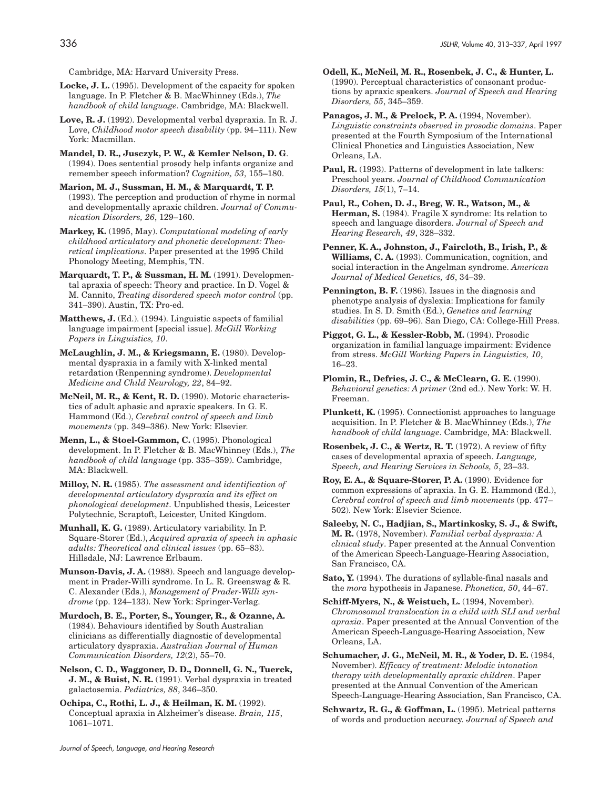Cambridge, MA: Harvard University Press.

- **Locke, J. L.** (1995). Development of the capacity for spoken language. In P. Fletcher & B. MacWhinney (Eds.), *The handbook of child language*. Cambridge, MA: Blackwell.
- **Love, R. J.** (1992). Developmental verbal dyspraxia. In R. J. Love, *Childhood motor speech disability* (pp. 94–111). New York: Macmillan.
- **Mandel, D. R., Jusczyk, P. W., & Kemler Nelson, D. G**. (1994). Does sentential prosody help infants organize and remember speech information? *Cognition, 53*, 155–180.
- **Marion, M. J., Sussman, H. M., & Marquardt, T. P.** (1993). The perception and production of rhyme in normal and developmentally apraxic children. *Journal of Communication Disorders, 26*, 129–160.
- **Markey, K.** (1995, May). *Computational modeling of early childhood articulatory and phonetic development: Theoretical implications*. Paper presented at the 1995 Child Phonology Meeting, Memphis, TN.
- **Marquardt, T. P., & Sussman, H. M.** (1991). Developmental apraxia of speech: Theory and practice. In D. Vogel & M. Cannito, *Treating disordered speech motor control* (pp. 341–390). Austin, TX: Pro-ed.
- **Matthews, J.** (Ed.). (1994). Linguistic aspects of familial language impairment [special issue]. *McGill Working Papers in Linguistics, 10*.
- **McLaughlin, J. M., & Kriegsmann, E.** (1980). Developmental dyspraxia in a family with X-linked mental retardation (Renpenning syndrome). *Developmental Medicine and Child Neurology, 22*, 84–92.
- **McNeil, M. R., & Kent, R. D.** (1990). Motoric characteristics of adult aphasic and apraxic speakers. In G. E. Hammond (Ed.), *Cerebral control of speech and limb movements* (pp. 349–386). New York: Elsevier.
- **Menn, L., & Stoel-Gammon, C.** (1995). Phonological development. In P. Fletcher & B. MacWhinney (Eds.), *The handbook of child language* (pp. 335–359). Cambridge, MA: Blackwell.
- **Milloy, N. R.** (1985). *The assessment and identification of developmental articulatory dyspraxia and its effect on phonological development*. Unpublished thesis, Leicester Polytechnic, Scraptoft, Leicester, United Kingdom.
- **Munhall, K. G.** (1989). Articulatory variability. In P. Square-Storer (Ed.), *Acquired apraxia of speech in aphasic adults: Theoretical and clinical issues* (pp. 65–83). Hillsdale, NJ: Lawrence Erlbaum.
- **Munson-Davis, J. A.** (1988). Speech and language development in Prader-Willi syndrome. In L. R. Greenswag & R. C. Alexander (Eds.), *Management of Prader-Willi syndrome* (pp. 124–133). New York: Springer-Verlag.
- **Murdoch, B. E., Porter, S., Younger, R., & Ozanne, A.** (1984). Behaviours identified by South Australian clinicians as differentially diagnostic of developmental articulatory dyspraxia. *Australian Journal of Human Communication Disorders, 12*(2), 55–70.
- **Nelson, C. D., Waggoner, D. D., Donnell, G. N., Tuerck, J. M., & Buist, N. R.** (1991). Verbal dyspraxia in treated galactosemia. *Pediatrics, 88*, 346–350.
- **Ochipa, C., Rothi, L. J., & Heilman, K. M.** (1992). Conceptual apraxia in Alzheimer's disease. *Brain, 115*, 1061–1071.
- **Odell, K., McNeil, M. R., Rosenbek, J. C., & Hunter, L.** (1990). Perceptual characteristics of consonant productions by apraxic speakers. *Journal of Speech and Hearing Disorders, 55*, 345–359.
- **Panagos, J. M., & Prelock, P. A.** (1994, November). *Linguistic constraints observed in prosodic domains*. Paper presented at the Fourth Symposium of the International Clinical Phonetics and Linguistics Association, New Orleans, LA.
- **Paul, R.** (1993). Patterns of development in late talkers: Preschool years. *Journal of Childhood Communication Disorders, 15*(1), 7–14.
- **Paul, R., Cohen, D. J., Breg, W. R., Watson, M., & Herman, S.** (1984). Fragile X syndrome: Its relation to speech and language disorders. *Journal of Speech and Hearing Research, 49*, 328–332.
- **Penner, K. A., Johnston, J., Faircloth, B., Irish, P., & Williams, C. A.** (1993). Communication, cognition, and social interaction in the Angelman syndrome. *American Journal of Medical Genetics, 46*, 34–39.
- **Pennington, B. F.** (1986). Issues in the diagnosis and phenotype analysis of dyslexia: Implications for family studies. In S. D. Smith (Ed.), *Genetics and learning disabilities* (pp. 69–96). San Diego, CA: College-Hill Press.
- **Piggot, G. L., & Kessler-Robb, M.** (1994). Prosodic organization in familial language impairment: Evidence from stress. *McGill Working Papers in Linguistics, 10*, 16–23.
- **Plomin, R., Defries, J. C., & McClearn, G. E.** (1990). *Behavioral genetics: A primer* (2nd ed.). New York: W. H. Freeman.
- **Plunkett, K.** (1995). Connectionist approaches to language acquisition. In P. Fletcher & B. MacWhinney (Eds.), *The handbook of child language*. Cambridge, MA: Blackwell.
- **Rosenbek, J. C., & Wertz, R. T.** (1972). A review of fifty cases of developmental apraxia of speech. *Language, Speech, and Hearing Services in Schools, 5*, 23–33.
- **Roy, E. A., & Square-Storer, P. A.** (1990). Evidence for common expressions of apraxia. In G. E. Hammond (Ed.), *Cerebral control of speech and limb movements* (pp. 477– 502). New York: Elsevier Science.
- **Saleeby, N. C., Hadjian, S., Martinkosky, S. J., & Swift, M. R.** (1978, November). *Familial verbal dyspraxia: A clinical study*. Paper presented at the Annual Convention of the American Speech-Language-Hearing Association, San Francisco, CA.
- **Sato, Y.** (1994). The durations of syllable-final nasals and the *mora* hypothesis in Japanese. *Phonetica, 50*, 44–67.
- **Schiff-Myers, N., & Weistuch, L.** (1994, November). *Chromosomal translocation in a child with SLI and verbal apraxia*. Paper presented at the Annual Convention of the American Speech-Language-Hearing Association, New Orleans, LA.
- **Schumacher, J. G., McNeil, M. R., & Yoder, D. E.** (1984, November). *Efficacy of treatment: Melodic intonation therapy with developmentally apraxic children*. Paper presented at the Annual Convention of the American Speech-Language-Hearing Association, San Francisco, CA.
- **Schwartz, R. G., & Goffman, L.** (1995). Metrical patterns of words and production accuracy. *Journal of Speech and*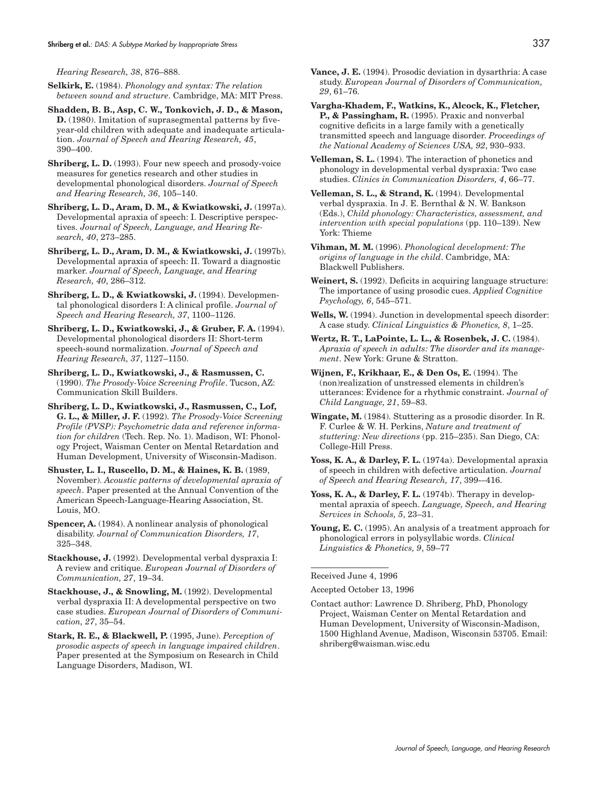*Hearing Research, 38*, 876–888.

- **Selkirk, E.** (1984). *Phonology and syntax: The relation between sound and structure*. Cambridge, MA: MIT Press.
- **Shadden, B. B., Asp, C. W., Tonkovich, J. D., & Mason, D.** (1980). Imitation of suprasegmental patterns by fiveyear-old children with adequate and inadequate articulation. *Journal of Speech and Hearing Research, 45*, 390–400.
- **Shriberg, L. D.** (1993). Four new speech and prosody-voice measures for genetics research and other studies in developmental phonological disorders. *Journal of Speech and Hearing Research, 36*, 105–140.
- **Shriberg, L. D., Aram, D. M., & Kwiatkowski, J.** (1997a). Developmental apraxia of speech: I. Descriptive perspectives. *Journal of Speech, Language, and Hearing Research, 40*, 273–285.
- **Shriberg, L. D., Aram, D. M., & Kwiatkowski, J.** (1997b). Developmental apraxia of speech: II. Toward a diagnostic marker. *Journal of Speech, Language, and Hearing Research, 40*, 286–312.
- **Shriberg, L. D., & Kwiatkowski, J.** (1994). Developmental phonological disorders I: A clinical profile. *Journal of Speech and Hearing Research, 37*, 1100–1126.
- **Shriberg, L. D., Kwiatkowski, J., & Gruber, F. A.** (1994). Developmental phonological disorders II: Short-term speech-sound normalization. *Journal of Speech and Hearing Research, 37*, 1127–1150.
- **Shriberg, L. D., Kwiatkowski, J., & Rasmussen, C.** (1990). *The Prosody-Voice Screening Profile*. Tucson, AZ: Communication Skill Builders.
- **Shriberg, L. D., Kwiatkowski, J., Rasmussen, C., Lof, G. L., & Miller, J. F.** (1992). *The Prosody-Voice Screening Profile (PVSP): Psychometric data and reference information for children* (Tech. Rep. No. 1). Madison, WI: Phonology Project, Waisman Center on Mental Retardation and Human Development, University of Wisconsin-Madison.
- **Shuster, L. I., Ruscello, D. M., & Haines, K. B.** (1989, November). *Acoustic patterns of developmental apraxia of speech*. Paper presented at the Annual Convention of the American Speech-Language-Hearing Association, St. Louis, MO.
- **Spencer, A.** (1984). A nonlinear analysis of phonological disability. *Journal of Communication Disorders, 17*, 325–348.
- **Stackhouse, J.** (1992). Developmental verbal dyspraxia I: A review and critique. *European Journal of Disorders of Communication, 27*, 19–34.
- **Stackhouse, J., & Snowling, M.** (1992). Developmental verbal dyspraxia II: A developmental perspective on two case studies. *European Journal of Disorders of Communication, 27*, 35–54.
- **Stark, R. E., & Blackwell, P.** (1995, June). *Perception of prosodic aspects of speech in language impaired children*. Paper presented at the Symposium on Research in Child Language Disorders, Madison, WI.
- **Vance, J. E.** (1994). Prosodic deviation in dysarthria: A case study. *European Journal of Disorders of Communication, 29*, 61–76.
- **Vargha-Khadem, F., Watkins, K., Alcock, K., Fletcher, P., & Passingham, R.** (1995). Praxic and nonverbal cognitive deficits in a large family with a genetically transmitted speech and language disorder. *Proceedings of the National Academy of Sciences USA, 92*, 930–933.
- **Velleman, S. L.** (1994). The interaction of phonetics and phonology in developmental verbal dyspraxia: Two case studies. *Clinics in Communication Disorders, 4*, 66–77.
- **Velleman, S. L., & Strand, K.** (1994). Developmental verbal dyspraxia. In J. E. Bernthal & N. W. Bankson (Eds.), *Child phonology: Characteristics, assessment, and intervention with special populations* (pp. 110–139). New York: Thieme
- **Vihman, M. M.** (1996). *Phonological development: The origins of language in the child*. Cambridge, MA: Blackwell Publishers.
- **Weinert, S.** (1992). Deficits in acquiring language structure: The importance of using prosodic cues. *Applied Cognitive Psychology, 6*, 545–571.
- **Wells, W.** (1994). Junction in developmental speech disorder: A case study. *Clinical Linguistics & Phonetics, 8*, 1–25.
- **Wertz, R. T., LaPointe, L. L., & Rosenbek, J. C.** (1984). *Apraxia of speech in adults: The disorder and its management*. New York: Grune & Stratton.
- **Wijnen, F., Krikhaar, E., & Den Os, E.** (1994). The (non)realization of unstressed elements in children's utterances: Evidence for a rhythmic constraint. *Journal of Child Language, 21*, 59–83.
- **Wingate, M.** (1984). Stuttering as a prosodic disorder. In R. F. Curlee & W. H. Perkins, *Nature and treatment of stuttering: New directions* (pp. 215–235). San Diego, CA: College-Hill Press.
- Yoss, K. A., & Darley, F. L. (1974a). Developmental apraxia of speech in children with defective articulation. *Journal of Speech and Hearing Research, 17*, 399-–416.
- Yoss, K. A., & Darley, F. L. (1974b). Therapy in developmental apraxia of speech. *Language, Speech, and Hearing Services in Schools, 5*, 23–31.
- **Young, E. C.** (1995). An analysis of a treatment approach for phonological errors in polysyllabic words. *Clinical Linguistics & Phonetics, 9*, 59–77

Received June 4, 1996

Accepted October 13, 1996

Contact author: Lawrence D. Shriberg, PhD, Phonology Project, Waisman Center on Mental Retardation and Human Development, University of Wisconsin-Madison, 1500 Highland Avenue, Madison, Wisconsin 53705. Email: shriberg@waisman.wisc.edu